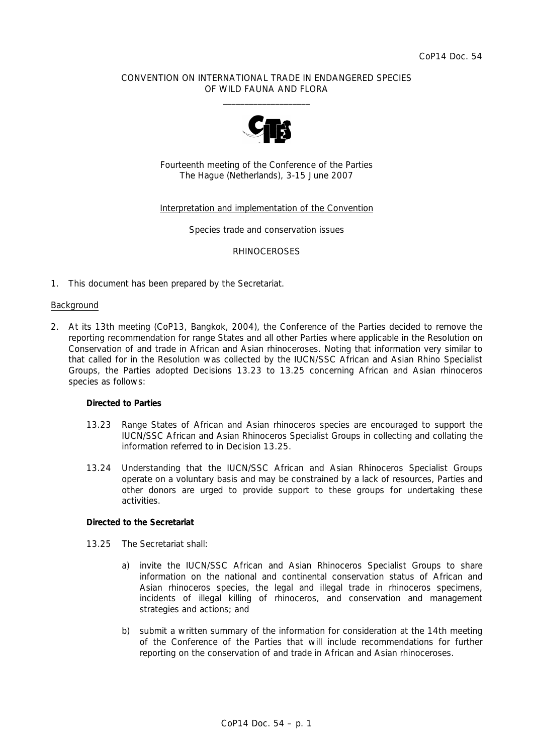#### CONVENTION ON INTERNATIONAL TRADE IN ENDANGERED SPECIES OF WILD FAUNA AND FLORA  $\frac{1}{2}$  , and the set of the set of the set of the set of the set of the set of the set of the set of the set of the set of the set of the set of the set of the set of the set of the set of the set of the set of the set



Fourteenth meeting of the Conference of the Parties The Hague (Netherlands), 3-15 June 2007

#### Interpretation and implementation of the Convention

Species trade and conservation issues

#### RHINOCEROSES

1. This document has been prepared by the Secretariat.

#### Background

2. At its 13th meeting (CoP13, Bangkok, 2004), the Conference of the Parties decided to remove the reporting recommendation for range States and all other Parties where applicable in the Resolution on Conservation of and trade in African and Asian rhinoceroses. Noting that information very similar to that called for in the Resolution was collected by the IUCN/SSC African and Asian Rhino Specialist Groups, the Parties adopted Decisions 13.23 to 13.25 concerning African and Asian rhinoceros species as follows:

#### *Directed to Parties*

- *13.23 Range States of African and Asian rhinoceros species are encouraged to support the IUCN/SSC African and Asian Rhinoceros Specialist Groups in collecting and collating the information referred to in Decision 13.25.*
- *13.24 Understanding that the IUCN/SSC African and Asian Rhinoceros Specialist Groups operate on a voluntary basis and may be constrained by a lack of resources, Parties and other donors are urged to provide support to these groups for undertaking these activities.*

#### *Directed to the Secretariat*

- *13.25 The Secretariat shall:* 
	- *a) invite the IUCN/SSC African and Asian Rhinoceros Specialist Groups to share information on the national and continental conservation status of African and Asian rhinoceros species, the legal and illegal trade in rhinoceros specimens, incidents of illegal killing of rhinoceros, and conservation and management strategies and actions; and*
	- *b) submit a written summary of the information for consideration at the 14th meeting of the Conference of the Parties that will include recommendations for further reporting on the conservation of and trade in African and Asian rhinoceroses.*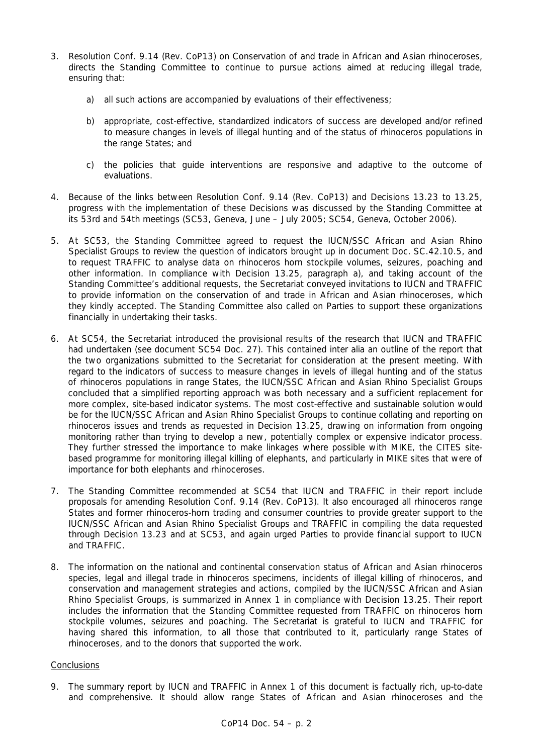- 3. Resolution Conf. 9.14 (Rev. CoP13) on Conservation of and trade in African and Asian rhinoceroses, directs the Standing Committee to continue to pursue actions aimed at reducing illegal trade, ensuring that:
	- *a) all such actions are accompanied by evaluations of their effectiveness;*
	- *b) appropriate, cost-effective, standardized indicators of success are developed and/or refined to measure changes in levels of illegal hunting and of the status of rhinoceros populations in the range States; and*
	- *c) the policies that guide interventions are responsive and adaptive to the outcome of evaluations*.
- 4. Because of the links between Resolution Conf. 9.14 (Rev. CoP13) and Decisions 13.23 to 13.25, progress with the implementation of these Decisions was discussed by the Standing Committee at its 53rd and 54th meetings (SC53, Geneva, June – July 2005; SC54, Geneva, October 2006).
- 5. At SC53, the Standing Committee agreed to request the IUCN/SSC African and Asian Rhino Specialist Groups to review the question of indicators brought up in document Doc. SC.42.10.5, and to request TRAFFIC to analyse data on rhinoceros horn stockpile volumes, seizures, poaching and other information. In compliance with Decision 13.25, paragraph a), and taking account of the Standing Committee's additional requests, the Secretariat conveyed invitations to IUCN and TRAFFIC to provide information on the conservation of and trade in African and Asian rhinoceroses, which they kindly accepted. The Standing Committee also called on Parties to support these organizations financially in undertaking their tasks.
- 6. At SC54, the Secretariat introduced the provisional results of the research that IUCN and TRAFFIC had undertaken (see document SC54 Doc. 27). This contained *inter alia* an outline of the report that the two organizations submitted to the Secretariat for consideration at the present meeting. With regard to the indicators of success to measure changes in levels of illegal hunting and of the status of rhinoceros populations in range States, the IUCN/SSC African and Asian Rhino Specialist Groups concluded that a simplified reporting approach was both necessary and a sufficient replacement for more complex, site-based indicator systems. The most cost-effective and sustainable solution would be for the IUCN/SSC African and Asian Rhino Specialist Groups to continue collating and reporting on rhinoceros issues and trends as requested in Decision 13.25, drawing on information from ongoing monitoring rather than trying to develop a new, potentially complex or expensive indicator process. They further stressed the importance to make linkages where possible with MIKE, the CITES sitebased programme for monitoring illegal killing of elephants, and particularly in MIKE sites that were of importance for both elephants and rhinoceroses.
- 7. The Standing Committee recommended at SC54 that IUCN and TRAFFIC in their report include proposals for amending Resolution Conf. 9.14 (Rev. CoP13). It also encouraged all rhinoceros range States and former rhinoceros-horn trading and consumer countries to provide greater support to the IUCN/SSC African and Asian Rhino Specialist Groups and TRAFFIC in compiling the data requested through Decision 13.23 and at SC53, and again urged Parties to provide financial support to IUCN and TRAFFIC.
- 8. The information on the national and continental conservation status of African and Asian rhinoceros species, legal and illegal trade in rhinoceros specimens, incidents of illegal killing of rhinoceros, and conservation and management strategies and actions, compiled by the IUCN/SSC African and Asian Rhino Specialist Groups, is summarized in Annex 1 in compliance with Decision 13.25. Their report includes the information that the Standing Committee requested from TRAFFIC on rhinoceros horn stockpile volumes, seizures and poaching. The Secretariat is grateful to IUCN and TRAFFIC for having shared this information, to all those that contributed to it, particularly range States of rhinoceroses, and to the donors that supported the work.

### **Conclusions**

9. The summary report by IUCN and TRAFFIC in Annex 1 of this document is factually rich, up-to-date and comprehensive. It should allow range States of African and Asian rhinoceroses and the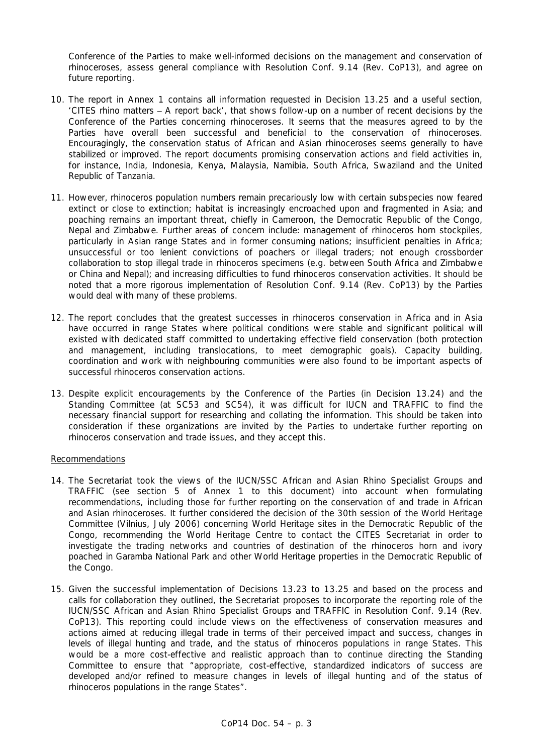Conference of the Parties to make well-informed decisions on the management and conservation of rhinoceroses, assess general compliance with Resolution Conf. 9.14 (Rev. CoP13), and agree on future reporting.

- 10. The report in Annex 1 contains all information requested in Decision 13.25 and a useful section, 'CITES rhino matters − A report back', that shows follow-up on a number of recent decisions by the Conference of the Parties concerning rhinoceroses. It seems that the measures agreed to by the Parties have overall been successful and beneficial to the conservation of rhinoceroses. Encouragingly, the conservation status of African and Asian rhinoceroses seems generally to have stabilized or improved. The report documents promising conservation actions and field activities in, for instance, India, Indonesia, Kenya, Malaysia, Namibia, South Africa, Swaziland and the United Republic of Tanzania.
- 11. However, rhinoceros population numbers remain precariously low with certain subspecies now feared extinct or close to extinction; habitat is increasingly encroached upon and fragmented in Asia; and poaching remains an important threat, chiefly in Cameroon, the Democratic Republic of the Congo, Nepal and Zimbabwe. Further areas of concern include: management of rhinoceros horn stockpiles, particularly in Asian range States and in former consuming nations; insufficient penalties in Africa; unsuccessful or too lenient convictions of poachers or illegal traders; not enough crossborder collaboration to stop illegal trade in rhinoceros specimens (e.g. between South Africa and Zimbabwe or China and Nepal); and increasing difficulties to fund rhinoceros conservation activities. It should be noted that a more rigorous implementation of Resolution Conf. 9.14 (Rev. CoP13) by the Parties would deal with many of these problems.
- 12. The report concludes that the greatest successes in rhinoceros conservation in Africa and in Asia have occurred in range States where political conditions were stable and significant political will existed with dedicated staff committed to undertaking effective field conservation (both protection and management, including translocations, to meet demographic goals). Capacity building, coordination and work with neighbouring communities were also found to be important aspects of successful rhinoceros conservation actions.
- 13. Despite explicit encouragements by the Conference of the Parties (in Decision 13.24) and the Standing Committee (at SC53 and SC54), it was difficult for IUCN and TRAFFIC to find the necessary financial support for researching and collating the information. This should be taken into consideration if these organizations are invited by the Parties to undertake further reporting on rhinoceros conservation and trade issues, and they accept this.

### Recommendations

- 14. The Secretariat took the views of the IUCN/SSC African and Asian Rhino Specialist Groups and TRAFFIC (see section 5 of Annex 1 to this document) into account when formulating recommendations, including those for further reporting on the conservation of and trade in African and Asian rhinoceroses. It further considered the decision of the 30th session of the World Heritage Committee (Vilnius, July 2006) concerning World Heritage sites in the Democratic Republic of the Congo, recommending the World Heritage Centre to contact the CITES Secretariat in order to investigate the trading networks and countries of destination of the rhinoceros horn and ivory poached in Garamba National Park and other World Heritage properties in the Democratic Republic of the Congo.
- 15. Given the successful implementation of Decisions 13.23 to 13.25 and based on the process and calls for collaboration they outlined, the Secretariat proposes to incorporate the reporting role of the IUCN/SSC African and Asian Rhino Specialist Groups and TRAFFIC in Resolution Conf. 9.14 (Rev. CoP13). This reporting could include views on the effectiveness of conservation measures and actions aimed at reducing illegal trade in terms of their perceived impact and success, changes in levels of illegal hunting and trade, and the status of rhinoceros populations in range States. This would be a more cost-effective and realistic approach than to continue directing the Standing Committee to ensure that "appropriate, cost-effective, standardized indicators of success are developed and/or refined to measure changes in levels of illegal hunting and of the status of rhinoceros populations in the range States".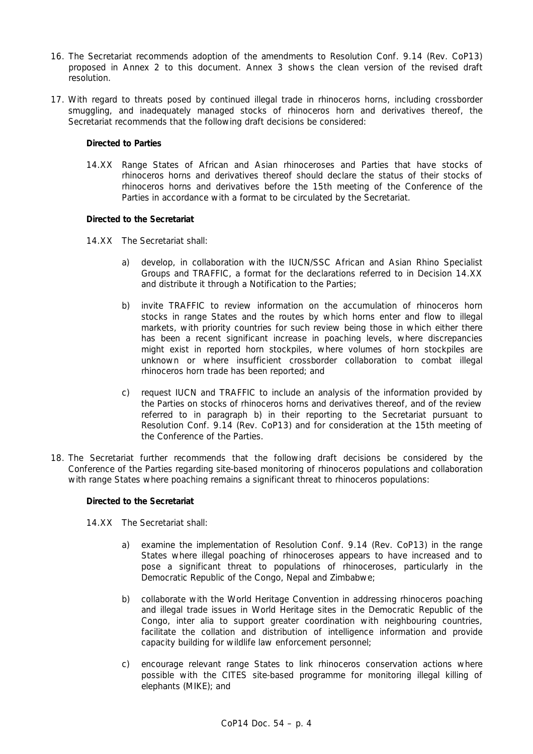- 16. The Secretariat recommends adoption of the amendments to Resolution Conf. 9.14 (Rev. CoP13) proposed in Annex 2 to this document. Annex 3 shows the clean version of the revised draft resolution.
- 17. With regard to threats posed by continued illegal trade in rhinoceros horns, including crossborder smuggling, and inadequately managed stocks of rhinoceros horn and derivatives thereof, the Secretariat recommends that the following draft decisions be considered:

#### *Directed to Parties*

14.XX Range States of African and Asian rhinoceroses and Parties that have stocks of rhinoceros horns and derivatives thereof should declare the status of their stocks of rhinoceros horns and derivatives before the 15th meeting of the Conference of the Parties in accordance with a format to be circulated by the Secretariat.

#### *Directed to the Secretariat*

- 14.XX The Secretariat shall:
	- a) develop, in collaboration with the IUCN/SSC African and Asian Rhino Specialist Groups and TRAFFIC, a format for the declarations referred to in Decision 14.XX and distribute it through a Notification to the Parties;
	- b) invite TRAFFIC to review information on the accumulation of rhinoceros horn stocks in range States and the routes by which horns enter and flow to illegal markets, with priority countries for such review being those in which either there has been a recent significant increase in poaching levels, where discrepancies might exist in reported horn stockpiles, where volumes of horn stockpiles are unknown or where insufficient crossborder collaboration to combat illegal rhinoceros horn trade has been reported; and
	- c) request IUCN and TRAFFIC to include an analysis of the information provided by the Parties on stocks of rhinoceros horns and derivatives thereof, and of the review referred to in paragraph b) in their reporting to the Secretariat pursuant to Resolution Conf. 9.14 (Rev. CoP13) and for consideration at the 15th meeting of the Conference of the Parties.
- 18. The Secretariat further recommends that the following draft decisions be considered by the Conference of the Parties regarding site-based monitoring of rhinoceros populations and collaboration with range States where poaching remains a significant threat to rhinoceros populations:

#### *Directed to the Secretariat*

- 14.XX The Secretariat shall:
	- a) examine the implementation of Resolution Conf. 9.14 (Rev. CoP13) in the range States where illegal poaching of rhinoceroses appears to have increased and to pose a significant threat to populations of rhinoceroses, particularly in the Democratic Republic of the Congo, Nepal and Zimbabwe;
	- b) collaborate with the World Heritage Convention in addressing rhinoceros poaching and illegal trade issues in World Heritage sites in the Democratic Republic of the Congo, *inter alia* to support greater coordination with neighbouring countries, facilitate the collation and distribution of intelligence information and provide capacity building for wildlife law enforcement personnel;
	- c) encourage relevant range States to link rhinoceros conservation actions where possible with the CITES site-based programme for monitoring illegal killing of elephants (MIKE); and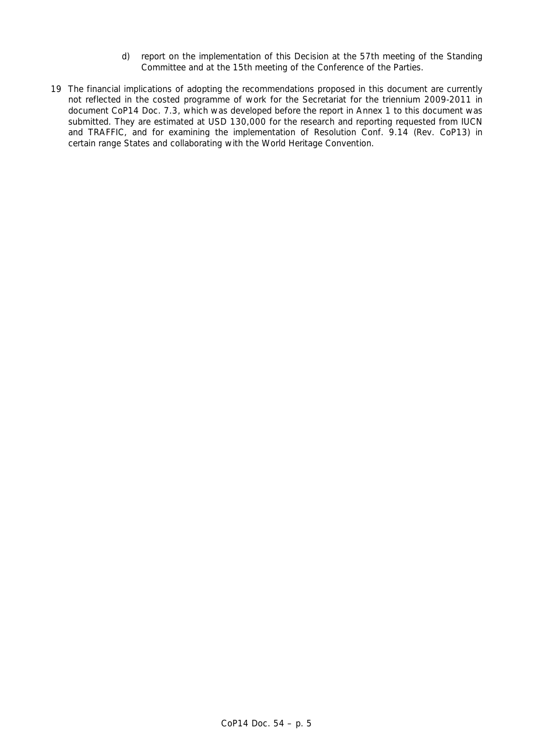- d) report on the implementation of this Decision at the 57th meeting of the Standing Committee and at the 15th meeting of the Conference of the Parties.
- 19 The financial implications of adopting the recommendations proposed in this document are currently not reflected in the costed programme of work for the Secretariat for the triennium 2009-2011 in document CoP14 Doc. 7.3, which was developed before the report in Annex 1 to this document was submitted. They are estimated at USD 130,000 for the research and reporting requested from IUCN and TRAFFIC, and for examining the implementation of Resolution Conf. 9.14 (Rev. CoP13) in certain range States and collaborating with the World Heritage Convention.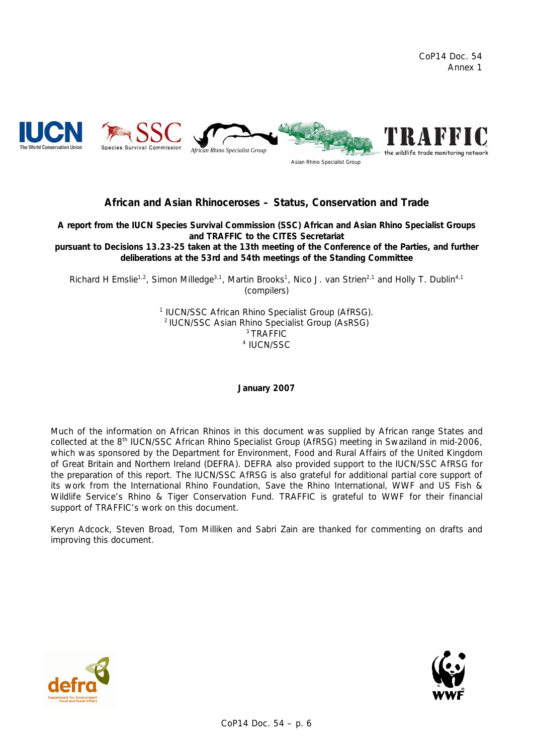

# **African and Asian Rhinoceroses – Status, Conservation and Trade**

**A report from the IUCN Species Survival Commission (SSC) African and Asian Rhino Specialist Groups and TRAFFIC to the CITES Secretariat** 

**pursuant to Decisions 13.23-25 taken at the 13th meeting of the Conference of the Parties, and further deliberations at the 53rd and 54th meetings of the Standing Committee** 

Richard H Emslie<sup>1,2</sup>, Simon Milledge<sup>3,1</sup>, Martin Brooks<sup>1</sup>, Nico J. van Strien<sup>2,1</sup> and Holly T. Dublin<sup>4,1</sup> (compilers)

> <sup>1</sup> IUCN/SSC African Rhino Specialist Group (AfRSG). <sup>2</sup> IUCN/SSC Asian Rhino Specialist Group (AsRSG)<br><sup>3</sup> TRAFFIC <sup>4</sup> IUCN/SSC

> > **January 2007**

*Much of the information on African Rhinos in this document was supplied by African range States and collected at the 8th IUCN/SSC African Rhino Specialist Group (AfRSG) meeting in Swaziland in mid-2006, which was sponsored by the Department for Environment, Food and Rural Affairs of the United Kingdom of Great Britain and Northern Ireland (DEFRA). DEFRA also provided support to the IUCN/SSC AfRSG for the preparation of this report. The IUCN/SSC AfRSG is also grateful for additional partial core support of its work from the International Rhino Foundation, Save the Rhino International, WWF and US Fish & Wildlife Service's Rhino & Tiger Conservation Fund. TRAFFIC is grateful to WWF for their financial support of TRAFFIC's work on this document.* 

*Keryn Adcock, Steven Broad, Tom Milliken and Sabri Zain are thanked for commenting on drafts and improving this document.* 



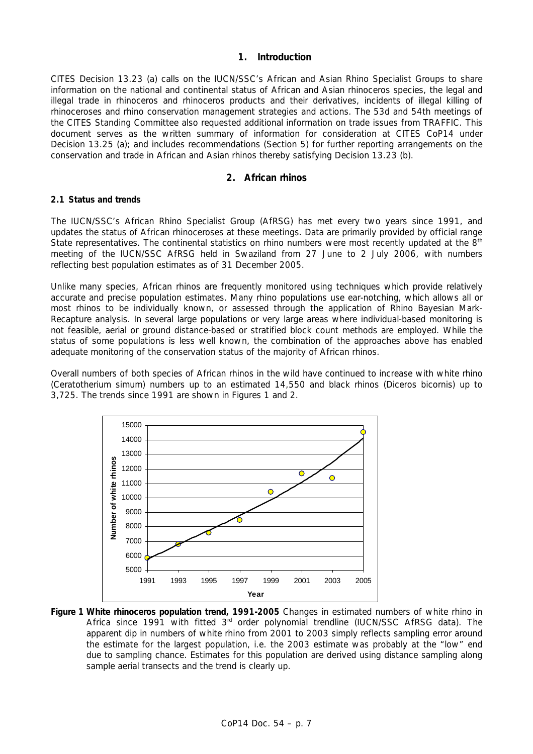# **1. Introduction**

CITES Decision 13.23 (a) calls on the IUCN/SSC's African and Asian Rhino Specialist Groups to share information on the national and continental status of African and Asian rhinoceros species, the legal and illegal trade in rhinoceros and rhinoceros products and their derivatives, incidents of illegal killing of rhinoceroses and rhino conservation management strategies and actions. The 53d and 54th meetings of the CITES Standing Committee also requested additional information on trade issues from TRAFFIC. This document serves as the written summary of information for consideration at CITES CoP14 under Decision 13.25 (a); and includes recommendations (Section 5) for further reporting arrangements on the conservation and trade in African and Asian rhinos thereby satisfying Decision 13.23 (b).

# **2. African rhinos**

#### **2.1 Status and trends**

The IUCN/SSC's African Rhino Specialist Group (AfRSG) has met every two years since 1991, and updates the status of African rhinoceroses at these meetings. Data are primarily provided by official range State representatives. The continental statistics on rhino numbers were most recently updated at the  $8<sup>th</sup>$ meeting of the IUCN/SSC AfRSG held in Swaziland from 27 June to 2 July 2006, with numbers reflecting best population estimates as of 31 December 2005.

Unlike many species, African rhinos are frequently monitored using techniques which provide relatively accurate and precise population estimates. Many rhino populations use ear-notching, which allows all or most rhinos to be individually known, or assessed through the application of *Rhino* Bayesian Mark-Recapture analysis. In several large populations or very large areas where individual-based monitoring is not feasible, aerial or ground distance-based or stratified block count methods are employed. While the status of some populations is less well known, the combination of the approaches above has enabled adequate monitoring of the conservation status of the majority of African rhinos.

Overall numbers of both species of African rhinos in the wild have continued to increase with white rhino (*Ceratotherium simum*) numbers up to an estimated 14,550 and black rhinos (*Diceros bicornis*) up to 3,725. The trends since 1991 are shown in Figures 1 and 2.



**Figure 1 White rhinoceros population trend, 1991-2005** *Changes in estimated numbers of white rhino in Africa since 1991 with fitted 3rd order polynomial trendline (IUCN/SSC AfRSG data). The apparent dip in numbers of white rhino from 2001 to 2003 simply reflects sampling error around the estimate for the largest population, i.e. the 2003 estimate was probably at the "low" end due to sampling chance. Estimates for this population are derived using distance sampling along sample aerial transects and the trend is clearly up.*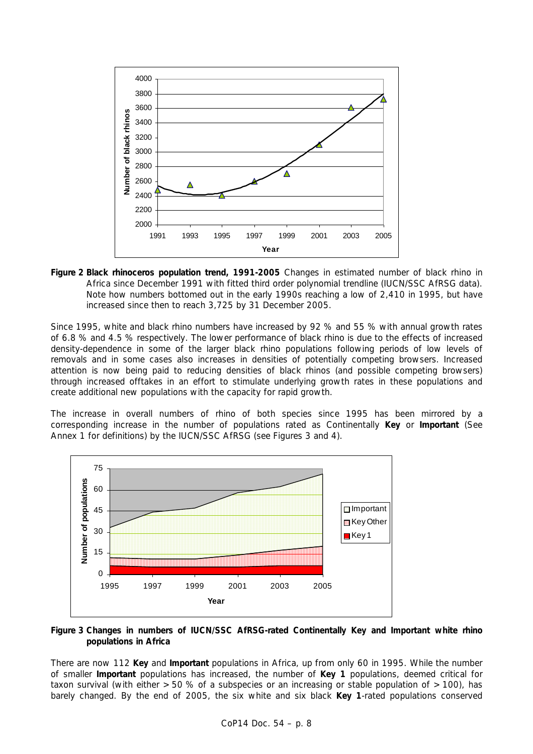

**Figure 2 Black rhinoceros population trend, 1991-2005** *Changes in estimated number of black rhino in Africa since December 1991 with fitted third order polynomial trendline (IUCN/SSC AfRSG data*). *Note how numbers bottomed out in the early 1990s reaching a low of 2,410 in 1995, but have increased since then to reach 3,725 by 31 December 2005.* 

Since 1995, white and black rhino numbers have increased by 92 % and 55 % with annual growth rates of 6.8 % and 4.5 % respectively. The lower performance of black rhino is due to the effects of increased density-dependence in some of the larger black rhino populations following periods of low levels of removals and in some cases also increases in densities of potentially competing browsers. Increased attention is now being paid to reducing densities of black rhinos (and possible competing browsers) through increased offtakes in an effort to stimulate underlying growth rates in these populations and create additional new populations with the capacity for rapid growth.

The increase in overall numbers of rhino of both species since 1995 has been mirrored by a corresponding increase in the number of populations rated as Continentally *Key* or *Important* (See Annex 1 for definitions) by the IUCN/SSC AfRSG (see Figures 3 and 4).



# **Figure 3 Changes in numbers of IUCN/SSC AfRSG-rated Continentally Key and Important white rhino populations in Africa**

There are now 112 *Key* and *Important* populations in Africa, up from only 60 in 1995. While the number of smaller *Important* populations has increased, the number of *Key 1* populations, deemed critical for taxon survival (with either  $>50$  % of a subspecies or an increasing or stable population of  $>100$ ), has barely changed. By the end of 2005, the six white and six black *Key 1*-rated populations conserved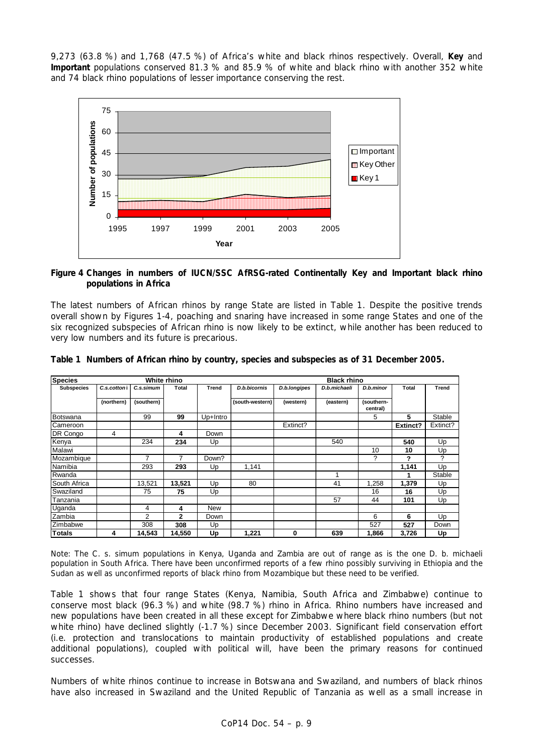9,273 (63.8 %) and 1,768 (47.5 %) of Africa's white and black rhinos respectively. Overall, *Key* and *Important* populations conserved 81.3 % and 85.9 % of white and black rhino with another 352 white and 74 black rhino populations of lesser importance conserving the rest.



### **Figure 4 Changes in numbers of IUCN/SSC AfRSG-rated Continentally Key and Important black rhino populations in Africa**

The latest numbers of African rhinos by range State are listed in Table 1. Despite the positive trends overall shown by Figures 1-4, poaching and snaring have increased in some range States and one of the six recognized subspecies of African rhino is now likely to be extinct, while another has been reduced to very low numbers and its future is precarious.

| <b>Species</b><br>White rhino |             |            |              |            | <b>Black rhino</b> |              |              |                        |          |          |  |  |
|-------------------------------|-------------|------------|--------------|------------|--------------------|--------------|--------------|------------------------|----------|----------|--|--|
| <b>Subspecies</b>             | C.s.cottoni | C.s.simum  | <b>Total</b> | Trend      | D.b.bicornis       | D.b.longipes | D.b.michaeli | D.b.minor              | Total    | Trend    |  |  |
|                               | (northern)  | (southern) |              |            | (south-western)    | (western)    | (eastern)    | (southern-<br>central) |          |          |  |  |
| Botswana                      |             | 99         | 99           | Up+Intro   |                    |              |              | 5                      | 5        | Stable   |  |  |
| Cameroon                      |             |            |              |            |                    | Extinct?     |              |                        | Extinct? | Extinct? |  |  |
| DR Congo                      | 4           |            | 4            | Down       |                    |              |              |                        |          |          |  |  |
| Kenya                         |             | 234        | 234          | Up         |                    |              | 540          |                        | 540      | Up       |  |  |
| Malawi                        |             |            |              |            |                    |              |              | 10                     | 10       | Up       |  |  |
| Mozambique                    |             | 7          | 7            | Down?      |                    |              |              | ?                      | ?        | ?        |  |  |
| Namibia                       |             | 293        | 293          | Up         | 1,141              |              |              |                        | 1,141    | Up       |  |  |
| Rwanda                        |             |            |              |            |                    |              |              |                        |          | Stable   |  |  |
| South Africa                  |             | 13,521     | 13,521       | Up         | 80                 |              | 41           | 1,258                  | 1,379    | Up       |  |  |
| Swaziland                     |             | 75         | 75           | Up         |                    |              |              | 16                     | 16       | Up       |  |  |
| Tanzania                      |             |            |              |            |                    |              | 57           | 44                     | 101      | Up       |  |  |
| Uganda                        |             | 4          | 4            | <b>New</b> |                    |              |              |                        |          |          |  |  |
| Zambia                        |             | 2          | $\mathbf{2}$ | Down       |                    |              |              | 6                      | 6        | Up       |  |  |
| Zimbabwe                      |             | 308        | 308          | Up         |                    |              |              | 527                    | 527      | Down     |  |  |
| Totals                        | 4           | 14,543     | 14,550       | Up         | 1,221              | 0            | 639          | 1,866                  | 3,726    | Up       |  |  |

### **Table 1 Numbers of African rhino by country, species and subspecies as of 31 December 2005.**

*Note: The* C. s. simum *populations in Kenya, Uganda and Zambia are out of range as is the one* D. b. michaeli *population in South Africa. There have been unconfirmed reports of a few rhino possibly surviving in Ethiopia and the Sudan as well as unconfirmed reports of black rhino from Mozambique but these need to be verified.* 

Table 1 shows that four range States (Kenya, Namibia, South Africa and Zimbabwe) continue to conserve most black (96.3 %) and white (98.7 %) rhino in Africa. Rhino numbers have increased and new populations have been created in all these except for Zimbabwe where black rhino numbers (but not white rhino) have declined slightly (-1.7 %) since December 2003. Significant field conservation effort (i.e. protection and translocations to maintain productivity of established populations and create additional populations), coupled with political will, have been the primary reasons for continued successes.

Numbers of white rhinos continue to increase in Botswana and Swaziland, and numbers of black rhinos have also increased in Swaziland and the United Republic of Tanzania as well as a small increase in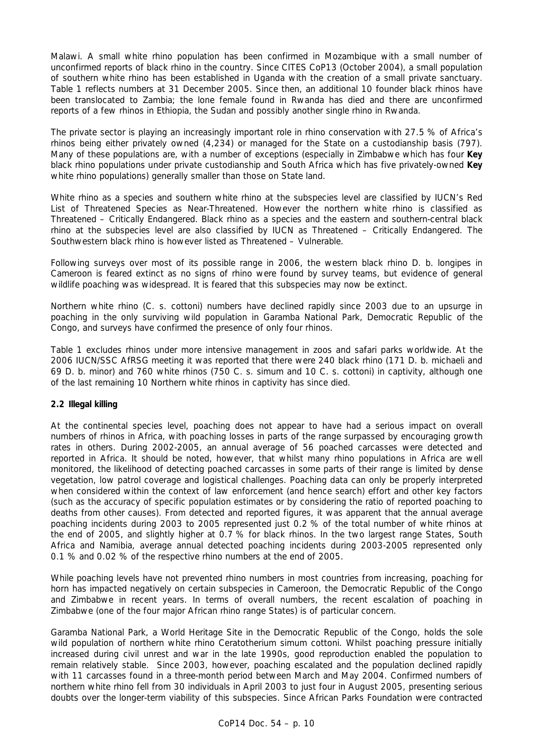Malawi. A small white rhino population has been confirmed in Mozambique with a small number of unconfirmed reports of black rhino in the country. Since CITES CoP13 (October 2004), a small population of southern white rhino has been established in Uganda with the creation of a small private sanctuary. Table 1 reflects numbers at 31 December 2005. Since then, an additional 10 founder black rhinos have been translocated to Zambia; the lone female found in Rwanda has died and there are unconfirmed reports of a few rhinos in Ethiopia, the Sudan and possibly another single rhino in Rwanda.

The private sector is playing an increasingly important role in rhino conservation with 27.5 % of Africa's rhinos being either privately owned (4,234) or managed for the State on a custodianship basis (797). Many of these populations are, with a number of exceptions (especially in Zimbabwe which has four *Key* black rhino populations under private custodianship and South Africa which has five privately-owned *Key* white rhino populations) generally smaller than those on State land.

White rhino as a species and southern white rhino at the subspecies level are classified by IUCN's Red List of Threatened Species as *Near-Threatened.* However the northern white rhino is classified as *Threatened – Critically Endangered*. Black rhino as a species and the eastern and southern-central black rhino at the subspecies level are also classified by IUCN as *Threatened – Critically Endangered*. The Southwestern black rhino is however listed as *Threatened – Vulnerable.*

Following surveys over most of its possible range in 2006, the western black rhino *D. b. longipes* in Cameroon is feared extinct as no signs of rhino were found by survey teams, but evidence of general wildlife poaching was widespread. It is feared that this subspecies may now be extinct.

Northern white rhino (*C. s. cottoni*) numbers have declined rapidly since 2003 due to an upsurge in poaching in the only surviving wild population in Garamba National Park, Democratic Republic of the Congo, and surveys have confirmed the presence of only four rhinos.

Table 1 excludes rhinos under more intensive management in zoos and safari parks worldwide. At the 2006 IUCN/SSC AfRSG meeting it was reported that there were 240 black rhino (171 *D. b. michaeli* and 69 *D. b. minor*) and 760 white rhinos (750 *C. s. simum* and 10 *C. s. cottoni*) in captivity, although one of the last remaining 10 Northern white rhinos in captivity has since died.

### **2.2 Illegal killing**

At the continental species level, poaching does not appear to have had a serious impact on overall numbers of rhinos in Africa, with poaching losses in parts of the range surpassed by encouraging growth rates in others. During 2002-2005, an annual average of 56 poached carcasses were detected and reported in Africa. It should be noted, however, that whilst many rhino populations in Africa are well monitored, the likelihood of detecting poached carcasses in some parts of their range is limited by dense vegetation, low patrol coverage and logistical challenges. Poaching data can only be properly interpreted when considered within the context of law enforcement (and hence search) effort and other key factors (such as the accuracy of specific population estimates or by considering the ratio of reported poaching to deaths from other causes). From detected and reported figures, it was apparent that the annual average poaching incidents during 2003 to 2005 represented just 0.2 % of the total number of white rhinos at the end of 2005, and slightly higher at 0.7 % for black rhinos. In the two largest range States, South Africa and Namibia, average annual detected poaching incidents during 2003-2005 represented only 0.1 % and 0.02 % of the respective rhino numbers at the end of 2005.

While poaching levels have not prevented rhino numbers in most countries from increasing, poaching for horn has impacted negatively on certain subspecies in Cameroon, the Democratic Republic of the Congo and Zimbabwe in recent years. In terms of overall numbers, the recent escalation of poaching in Zimbabwe (one of the four major African rhino range States) is of particular concern.

Garamba National Park, a World Heritage Site in the Democratic Republic of the Congo, holds the sole wild population of northern white rhino *Ceratotherium simum cottoni.* Whilst poaching pressure initially increased during civil unrest and war in the late 1990s, good reproduction enabled the population to remain relatively stable. Since 2003, however, poaching escalated and the population declined rapidly with 11 carcasses found in a three-month period between March and May 2004. Confirmed numbers of northern white rhino fell from 30 individuals in April 2003 to just four in August 2005, presenting serious doubts over the longer-term viability of this subspecies. Since African Parks Foundation were contracted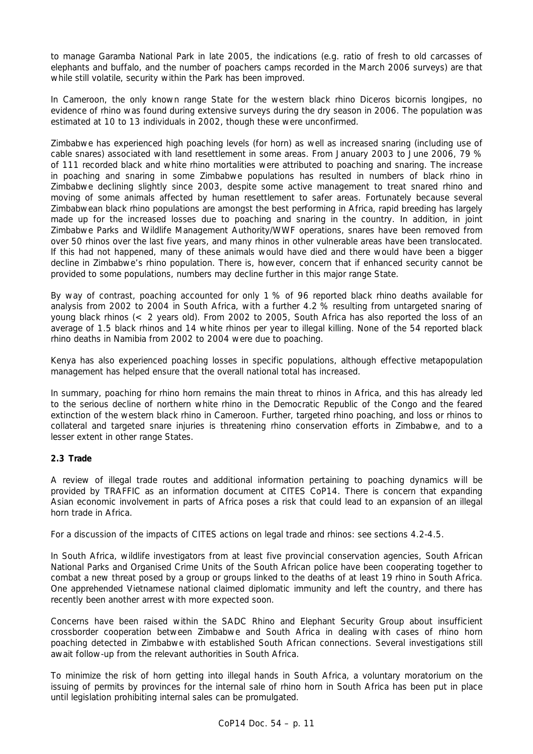to manage Garamba National Park in late 2005, the indications (e.g. ratio of fresh to old carcasses of elephants and buffalo, and the number of poachers camps recorded in the March 2006 surveys) are that while still volatile, security within the Park has been improved.

In Cameroon, the only known range State for the western black rhino *Diceros bicornis longipes*, no evidence of rhino was found during extensive surveys during the dry season in 2006. The population was estimated at 10 to 13 individuals in 2002, though these were unconfirmed.

Zimbabwe has experienced high poaching levels (for horn) as well as increased snaring (including use of cable snares) associated with land resettlement in some areas. From January 2003 to June 2006, 79 % of 111 recorded black and white rhino mortalities were attributed to poaching and snaring. The increase in poaching and snaring in some Zimbabwe populations has resulted in numbers of black rhino in Zimbabwe declining slightly since 2003, despite some active management to treat snared rhino and moving of some animals affected by human resettlement to safer areas. Fortunately because several Zimbabwean black rhino populations are amongst the best performing in Africa, rapid breeding has largely made up for the increased losses due to poaching and snaring in the country. In addition, in joint Zimbabwe Parks and Wildlife Management Authority/WWF operations, snares have been removed from over 50 rhinos over the last five years, and many rhinos in other vulnerable areas have been translocated. If this had not happened, many of these animals would have died and there would have been a bigger decline in Zimbabwe's rhino population. There is, however, concern that if enhanced security cannot be provided to some populations, numbers may decline further in this major range State.

By way of contrast, poaching accounted for only 1 % of 96 reported black rhino deaths available for analysis from 2002 to 2004 in South Africa, with a further 4.2 % resulting from untargeted snaring of young black rhinos (< 2 years old). From 2002 to 2005, South Africa has also reported the loss of an average of 1.5 black rhinos and 14 white rhinos per year to illegal killing. None of the 54 reported black rhino deaths in Namibia from 2002 to 2004 were due to poaching.

Kenya has also experienced poaching losses in specific populations, although effective metapopulation management has helped ensure that the overall national total has increased.

In summary, poaching for rhino horn remains the main threat to rhinos in Africa, and this has already led to the serious decline of northern white rhino in the Democratic Republic of the Congo and the feared extinction of the western black rhino in Cameroon. Further, targeted rhino poaching, and loss or rhinos to collateral and targeted snare injuries is threatening rhino conservation efforts in Zimbabwe, and to a lesser extent in other range States.

### **2.3 Trade**

A review of illegal trade routes and additional information pertaining to poaching dynamics will be provided by TRAFFIC as an information document at CITES CoP14. There is concern that expanding Asian economic involvement in parts of Africa poses a risk that could lead to an expansion of an illegal horn trade in Africa.

For a discussion of the impacts of CITES actions on legal trade and rhinos: see sections 4.2-4.5.

In South Africa, wildlife investigators from at least five provincial conservation agencies, South African National Parks and Organised Crime Units of the South African police have been cooperating together to combat a new threat posed by a group or groups linked to the deaths of at least 19 rhino in South Africa. One apprehended Vietnamese national claimed diplomatic immunity and left the country, and there has recently been another arrest with more expected soon.

Concerns have been raised within the SADC Rhino and Elephant Security Group about insufficient crossborder cooperation between Zimbabwe and South Africa in dealing with cases of rhino horn poaching detected in Zimbabwe with established South African connections. Several investigations still await follow-up from the relevant authorities in South Africa.

To minimize the risk of horn getting into illegal hands in South Africa, a voluntary moratorium on the issuing of permits by provinces for the internal sale of rhino horn in South Africa has been put in place until legislation prohibiting internal sales can be promulgated.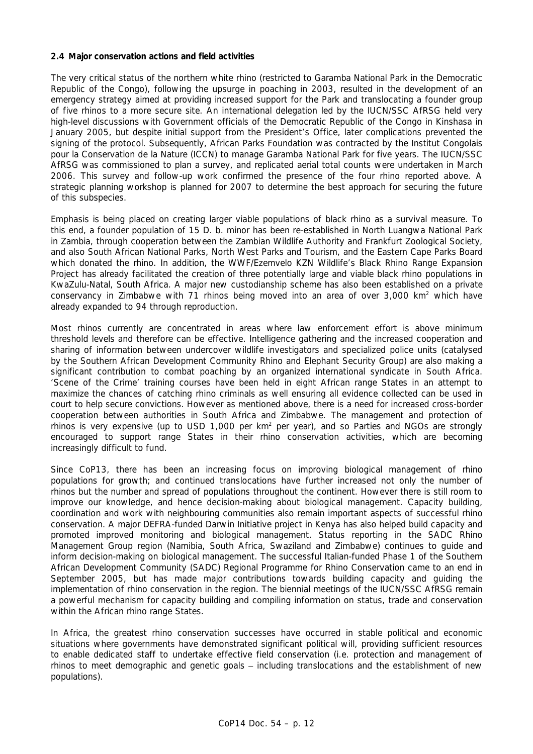#### **2.4 Major conservation actions and field activities**

The very critical status of the northern white rhino (restricted to Garamba National Park in the Democratic Republic of the Congo), following the upsurge in poaching in 2003, resulted in the development of an emergency strategy aimed at providing increased support for the Park and translocating a founder group of five rhinos to a more secure site. An international delegation led by the IUCN/SSC AfRSG held very high-level discussions with Government officials of the Democratic Republic of the Congo in Kinshasa in January 2005, but despite initial support from the President's Office, later complications prevented the signing of the protocol. Subsequently, African Parks Foundation was contracted by the *Institut Congolais pour la Conservation de la Nature* (ICCN) to manage Garamba National Park for five years. The IUCN/SSC AfRSG was commissioned to plan a survey, and replicated aerial total counts were undertaken in March 2006. This survey and follow-up work confirmed the presence of the four rhino reported above. A strategic planning workshop is planned for 2007 to determine the best approach for securing the future of this subspecies.

Emphasis is being placed on creating larger viable populations of black rhino as a survival measure. To this end, a founder population of 15 *D. b. minor* has been re-established in North Luangwa National Park in Zambia, through cooperation between the Zambian Wildlife Authority and Frankfurt Zoological Society, and also South African National Parks, North West Parks and Tourism, and the Eastern Cape Parks Board which donated the rhino. In addition, the WWF/Ezemvelo KZN Wildlife's Black Rhino Range Expansion Project has already facilitated the creation of three potentially large and viable black rhino populations in KwaZulu-Natal, South Africa. A major new custodianship scheme has also been established on a private conservancy in Zimbabwe with 71 rhinos being moved into an area of over 3,000  $km^2$  which have already expanded to 94 through reproduction.

Most rhinos currently are concentrated in areas where law enforcement effort is above minimum threshold levels and therefore can be effective. Intelligence gathering and the increased cooperation and sharing of information between undercover wildlife investigators and specialized police units (catalysed by the Southern African Development Community Rhino and Elephant Security Group) are also making a significant contribution to combat poaching by an organized international syndicate in South Africa. 'Scene of the Crime' training courses have been held in eight African range States in an attempt to maximize the chances of catching rhino criminals as well ensuring all evidence collected can be used in court to help secure convictions. However as mentioned above, there is a need for increased cross-border cooperation between authorities in South Africa and Zimbabwe. The management and protection of rhinos is very expensive (up to USD 1,000 per  $km^2$  per year), and so Parties and NGOs are strongly encouraged to support range States in their rhino conservation activities, which are becoming increasingly difficult to fund.

Since CoP13, there has been an increasing focus on improving biological management of rhino populations for growth; and continued translocations have further increased not only the number of rhinos but the number and spread of populations throughout the continent. However there is still room to improve our knowledge, and hence decision-making about biological management. Capacity building, coordination and work with neighbouring communities also remain important aspects of successful rhino conservation. A major DEFRA-funded Darwin Initiative project in Kenya has also helped build capacity and promoted improved monitoring and biological management. Status reporting in the SADC Rhino Management Group region (Namibia, South Africa, Swaziland and Zimbabwe) continues to guide and inform decision-making on biological management. The successful Italian-funded Phase 1 of the Southern African Development Community (SADC) Regional Programme for Rhino Conservation came to an end in September 2005, but has made major contributions towards building capacity and guiding the implementation of rhino conservation in the region. The biennial meetings of the IUCN/SSC AfRSG remain a powerful mechanism for capacity building and compiling information on status, trade and conservation within the African rhino range States.

In Africa, the greatest rhino conservation successes have occurred in stable political and economic situations where governments have demonstrated significant political will, providing sufficient resources to enable dedicated staff to undertake effective field conservation (i.e. protection and management of rhinos to meet demographic and genetic goals – including translocations and the establishment of new populations).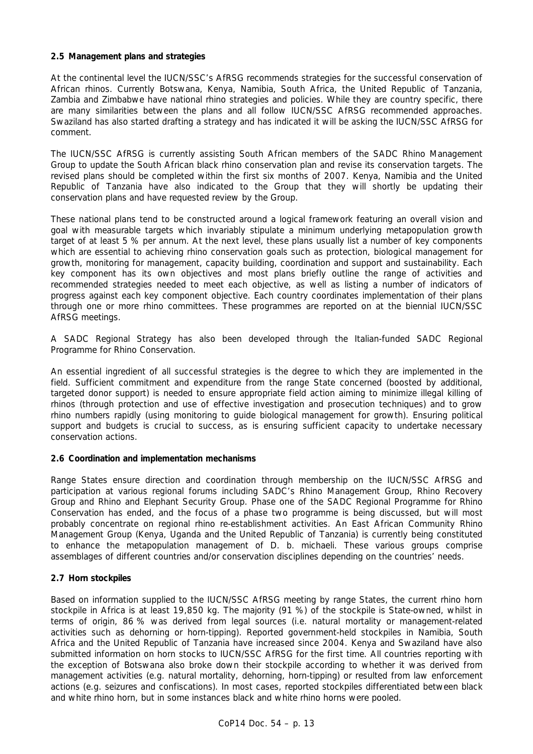#### **2.5 Management plans and strategies**

At the continental level the IUCN/SSC's AfRSG recommends strategies for the successful conservation of African rhinos. Currently Botswana, Kenya, Namibia, South Africa, the United Republic of Tanzania, Zambia and Zimbabwe have national rhino strategies and policies. While they are country specific, there are many similarities between the plans and all follow IUCN/SSC AfRSG recommended approaches. Swaziland has also started drafting a strategy and has indicated it will be asking the IUCN/SSC AfRSG for comment.

The IUCN/SSC AfRSG is currently assisting South African members of the SADC Rhino Management Group to update the South African black rhino conservation plan and revise its conservation targets. The revised plans should be completed within the first six months of 2007. Kenya, Namibia and the United Republic of Tanzania have also indicated to the Group that they will shortly be updating their conservation plans and have requested review by the Group.

These national plans tend to be constructed around a logical framework featuring an overall vision and goal with measurable targets which invariably stipulate a minimum underlying metapopulation growth target of at least 5 % per annum. At the next level, these plans usually list a number of key components which are essential to achieving rhino conservation goals such as protection, biological management for growth, monitoring for management, capacity building, coordination and support and sustainability. Each key component has its own objectives and most plans briefly outline the range of activities and recommended strategies needed to meet each objective, as well as listing a number of indicators of progress against each key component objective. Each country coordinates implementation of their plans through one or more rhino committees. These programmes are reported on at the biennial IUCN/SSC AfRSG meetings.

A SADC Regional Strategy has also been developed through the Italian-funded SADC Regional Programme for Rhino Conservation.

An essential ingredient of all successful strategies is the degree to which they are implemented in the field. Sufficient commitment and expenditure from the range State concerned (boosted by additional, targeted donor support) is needed to ensure appropriate field action aiming to minimize illegal killing of rhinos (through protection and use of effective investigation and prosecution techniques) and to grow rhino numbers rapidly (using monitoring to guide biological management for growth). Ensuring political support and budgets is crucial to success, as is ensuring sufficient capacity to undertake necessary conservation actions.

### **2.6 Coordination and implementation mechanisms**

Range States ensure direction and coordination through membership on the IUCN/SSC AfRSG and participation at various regional forums including SADC's Rhino Management Group, Rhino Recovery Group and Rhino and Elephant Security Group. Phase one of the SADC Regional Programme for Rhino Conservation has ended, and the focus of a phase two programme is being discussed, but will most probably concentrate on regional rhino re-establishment activities. An East African Community Rhino Management Group (Kenya, Uganda and the United Republic of Tanzania) is currently being constituted to enhance the metapopulation management of *D. b. michaeli*. These various groups comprise assemblages of different countries and/or conservation disciplines depending on the countries' needs.

### **2.7 Horn stockpiles**

Based on information supplied to the IUCN/SSC AfRSG meeting by range States, the current rhino horn stockpile in Africa is at least 19,850 kg. The majority (91 %) of the stockpile is State-owned, whilst in terms of origin, 86 % was derived from legal sources (i.e. natural mortality or management-related activities such as dehorning or horn-tipping). Reported government-held stockpiles in Namibia, South Africa and the United Republic of Tanzania have increased since 2004. Kenya and Swaziland have also submitted information on horn stocks to IUCN/SSC AfRSG for the first time. All countries reporting with the exception of Botswana also broke down their stockpile according to whether it was derived from management activities (e.g. natural mortality, dehorning, horn-tipping) or resulted from law enforcement actions (e.g. seizures and confiscations). In most cases, reported stockpiles differentiated between black and white rhino horn, but in some instances black and white rhino horns were pooled.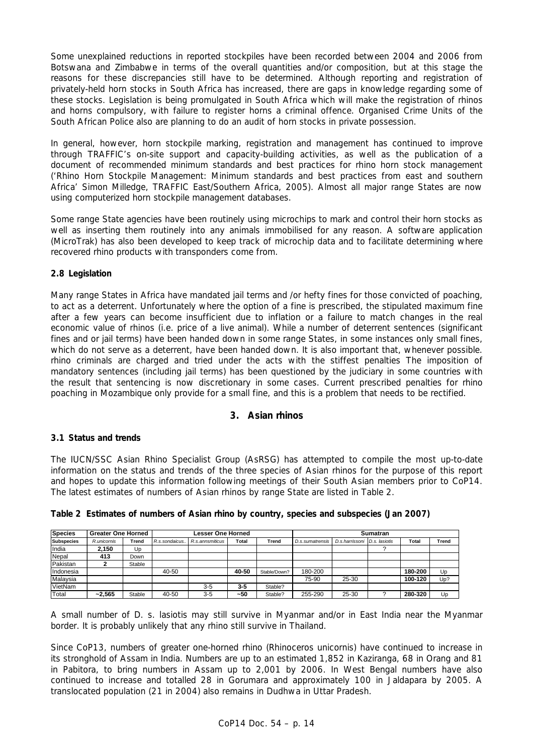Some unexplained reductions in reported stockpiles have been recorded between 2004 and 2006 from Botswana and Zimbabwe in terms of the overall quantities and/or composition, but at this stage the reasons for these discrepancies still have to be determined. Although reporting and registration of privately-held horn stocks in South Africa has increased, there are gaps in knowledge regarding some of these stocks. Legislation is being promulgated in South Africa which will make the registration of rhinos and horns compulsory, with failure to register horns a criminal offence. Organised Crime Units of the South African Police also are planning to do an audit of horn stocks in private possession.

In general, however, horn stockpile marking, registration and management has continued to improve through TRAFFIC's on-site support and capacity-building activities, as well as the publication of a document of recommended minimum standards and best practices for rhino horn stock management ('Rhino Horn Stockpile Management: Minimum standards and best practices from east and southern Africa' Simon Milledge, TRAFFIC East/Southern Africa, 2005). Almost all major range States are now using computerized horn stockpile management databases.

Some range State agencies have been routinely using microchips to mark and control their horn stocks as well as inserting them routinely into any animals immobilised for any reason. A software application (MicroTrak) has also been developed to keep track of microchip data and to facilitate determining where recovered rhino products with transponders come from.

# **2.8 Legislation**

Many range States in Africa have mandated jail terms and /or hefty fines for those convicted of poaching, to act as a deterrent. Unfortunately where the option of a fine is prescribed, the stipulated maximum fine after a few years can become insufficient due to inflation or a failure to match changes in the real economic value of rhinos (i.e. price of a live animal). While a number of deterrent sentences (significant fines and or jail terms) have been handed down in some range States, in some instances only small fines, which do not serve as a deterrent, have been handed down. It is also important that, whenever possible. rhino criminals are charged and tried under the acts with the stiffest penalties The imposition of mandatory sentences (including jail terms) has been questioned by the judiciary in some countries with the result that sentencing is now discretionary in some cases. Current prescribed penalties for rhino poaching in Mozambique only provide for a small fine, and this is a problem that needs to be rectified.

# **3. Asian rhinos**

# **3.1 Status and trends**

The IUCN/SSC Asian Rhino Specialist Group (AsRSG) has attempted to compile the most up-to-date information on the status and trends of the three species of Asian rhinos for the purpose of this report and hopes to update this information following meetings of their South Asian members prior to CoP14. The latest estimates of numbers of Asian rhinos by range State are listed in Table 2.

| <b>Species</b>    | <b>Greater One Horned</b> |        | Lesser One Horned |                 |         |              | Sumatran        |                              |  |         |       |
|-------------------|---------------------------|--------|-------------------|-----------------|---------|--------------|-----------------|------------------------------|--|---------|-------|
| <b>Subspecies</b> | R.unicornis               | Trend  | R.s.sondaicus.    | R.s.annsmiticus | Total   | Trend        | D.s.sumatrensis | D.s.harrissoni D.s. lasiotis |  | Total   | Trend |
| India             | 2,150                     | Up     |                   |                 |         |              |                 |                              |  |         |       |
| Nepal             | 413                       | Down   |                   |                 |         |              |                 |                              |  |         |       |
| Pakistan          |                           | Stable |                   |                 |         |              |                 |                              |  |         |       |
| Indonesia         |                           |        | 40-50             |                 | 40-50   | Stable/Down? | 180-200         |                              |  | 180-200 | Up    |
| Malavsia          |                           |        |                   |                 |         |              | 75-90           | 25-30                        |  | 100-120 | Up?   |
| VietNam           |                           |        |                   | $3-5$           | $3 - 5$ | Stable?      |                 |                              |  |         |       |
| Total             | $-2.565$                  | Stable | 40-50             | $3-5$           | ~50     | Stable?      | 255-290         | 25-30                        |  | 280-320 | Up    |

**Table 2 Estimates of numbers of Asian rhino by country, species and subspecies (Jan 2007)** 

*A small number of* D. s. lasiotis *may still survive in Myanmar and/or in East India near the Myanmar border. It is probably unlikely that any rhino still survive in Thailand.* 

Since CoP13, numbers of greater one-horned rhino (*Rhinoceros unicornis*) have continued to increase in its stronghold of Assam in India. Numbers are up to an estimated 1,852 in Kaziranga, 68 in Orang and 81 in Pabitora, to bring numbers in Assam up to 2,001 by 2006. In West Bengal numbers have also continued to increase and totalled 28 in Gorumara and approximately 100 in Jaldapara by 2005. A translocated population (21 in 2004) also remains in Dudhwa in Uttar Pradesh.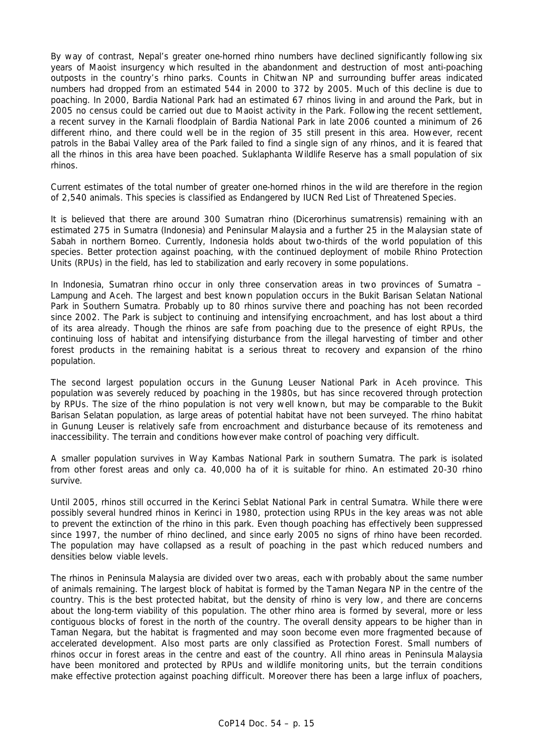By way of contrast, Nepal's greater one-horned rhino numbers have declined significantly following six years of Maoist insurgency which resulted in the abandonment and destruction of most anti-poaching outposts in the country's rhino parks. Counts in Chitwan NP and surrounding buffer areas indicated numbers had dropped from an estimated 544 in 2000 to 372 by 2005. Much of this decline is due to poaching. In 2000, Bardia National Park had an estimated 67 rhinos living in and around the Park, but in 2005 no census could be carried out due to Maoist activity in the Park. Following the recent settlement, a recent survey in the Karnali floodplain of Bardia National Park in late 2006 counted a minimum of 26 different rhino, and there could well be in the region of 35 still present in this area. However, recent patrols in the Babai Valley area of the Park failed to find a single sign of any rhinos, and it is feared that all the rhinos in this area have been poached. Suklaphanta Wildlife Reserve has a small population of six rhinos.

Current estimates of the total number of greater one-horned rhinos in the wild are therefore in the region of 2,540 animals. This species is classified as *Endangered* by IUCN Red List of Threatened Species.

It is believed that there are around 300 Sumatran rhino (*Dicerorhinus sumatrensis*) remaining with an estimated 275 in Sumatra (Indonesia) and Peninsular Malaysia and a further 25 in the Malaysian state of Sabah in northern Borneo. Currently, Indonesia holds about two-thirds of the world population of this species. Better protection against poaching, with the continued deployment of mobile Rhino Protection Units (RPUs) in the field, has led to stabilization and early recovery in some populations.

In Indonesia, Sumatran rhino occur in only three conservation areas in two provinces of Sumatra – Lampung and Aceh. The largest and best known population occurs in the Bukit Barisan Selatan National Park in Southern Sumatra. Probably up to 80 rhinos survive there and poaching has not been recorded since 2002. The Park is subject to continuing and intensifying encroachment, and has lost about a third of its area already. Though the rhinos are safe from poaching due to the presence of eight RPUs, the continuing loss of habitat and intensifying disturbance from the illegal harvesting of timber and other forest products in the remaining habitat is a serious threat to recovery and expansion of the rhino population.

The second largest population occurs in the Gunung Leuser National Park in Aceh province. This population was severely reduced by poaching in the 1980s, but has since recovered through protection by RPUs. The size of the rhino population is not very well known, but may be comparable to the Bukit Barisan Selatan population, as large areas of potential habitat have not been surveyed. The rhino habitat in Gunung Leuser is relatively safe from encroachment and disturbance because of its remoteness and inaccessibility. The terrain and conditions however make control of poaching very difficult.

A smaller population survives in Way Kambas National Park in southern Sumatra. The park is isolated from other forest areas and only ca. 40,000 ha of it is suitable for rhino. An estimated 20-30 rhino survive.

Until 2005, rhinos still occurred in the Kerinci Seblat National Park in central Sumatra. While there were possibly several hundred rhinos in Kerinci in 1980, protection using RPUs in the key areas was not able to prevent the extinction of the rhino in this park. Even though poaching has effectively been suppressed since 1997, the number of rhino declined, and since early 2005 no signs of rhino have been recorded. The population may have collapsed as a result of poaching in the past which reduced numbers and densities below viable levels.

The rhinos in Peninsula Malaysia are divided over two areas, each with probably about the same number of animals remaining. The largest block of habitat is formed by the Taman Negara NP in the centre of the country. This is the best protected habitat, but the density of rhino is very low, and there are concerns about the long-term viability of this population. The other rhino area is formed by several, more or less contiguous blocks of forest in the north of the country. The overall density appears to be higher than in Taman Negara, but the habitat is fragmented and may soon become even more fragmented because of accelerated development. Also most parts are only classified as Protection Forest. Small numbers of rhinos occur in forest areas in the centre and east of the country. All rhino areas in Peninsula Malaysia have been monitored and protected by RPUs and wildlife monitoring units, but the terrain conditions make effective protection against poaching difficult. Moreover there has been a large influx of poachers,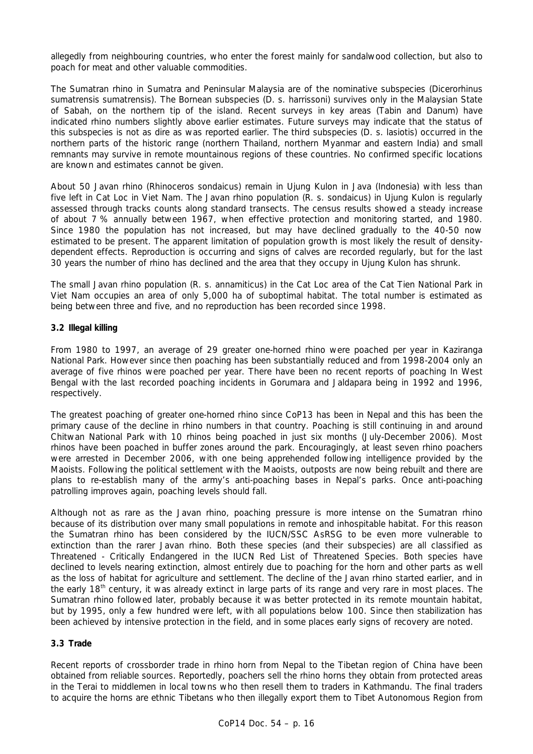allegedly from neighbouring countries, who enter the forest mainly for sandalwood collection, but also to poach for meat and other valuable commodities.

The Sumatran rhino in Sumatra and Peninsular Malaysia are of the nominative subspecies (*Dicerorhinus sumatrensis sumatrensis*). The Bornean subspecies (*D. s. harrissoni*) survives only in the Malaysian State of Sabah, on the northern tip of the island. Recent surveys in key areas (Tabin and Danum) have indicated rhino numbers slightly above earlier estimates. Future surveys may indicate that the status of this subspecies is not as dire as was reported earlier. The third subspecies (*D. s. lasiotis*) occurred in the northern parts of the historic range (northern Thailand, northern Myanmar and eastern India) and small remnants may survive in remote mountainous regions of these countries. No confirmed specific locations are known and estimates cannot be given.

About 50 Javan rhino (*Rhinoceros sondaicus)* remain in Ujung Kulon in Java (Indonesia) with less than five left in Cat Loc in Viet Nam. The Javan rhino population (*R. s. sondaicus*) in Ujung Kulon is regularly assessed through tracks counts along standard transects. The census results showed a steady increase of about 7 % annually between 1967, when effective protection and monitoring started, and 1980. Since 1980 the population has not increased, but may have declined gradually to the 40-50 now estimated to be present. The apparent limitation of population growth is most likely the result of densitydependent effects. Reproduction is occurring and signs of calves are recorded regularly, but for the last 30 years the number of rhino has declined and the area that they occupy in Ujung Kulon has shrunk.

The small Javan rhino population (*R. s. annamiticus*) in the Cat Loc area of the Cat Tien National Park in Viet Nam occupies an area of only 5,000 ha of suboptimal habitat. The total number is estimated as being between three and five, and no reproduction has been recorded since 1998.

## **3.2 Illegal killing**

From 1980 to 1997, an average of 29 greater one-horned rhino were poached per year in Kaziranga National Park. However since then poaching has been substantially reduced and from 1998-2004 only an average of five rhinos were poached per year. There have been no recent reports of poaching In West Bengal with the last recorded poaching incidents in Gorumara and Jaldapara being in 1992 and 1996, respectively.

The greatest poaching of greater one-horned rhino since CoP13 has been in Nepal and this has been the primary cause of the decline in rhino numbers in that country. Poaching is still continuing in and around Chitwan National Park with 10 rhinos being poached in just six months (July-December 2006). Most rhinos have been poached in buffer zones around the park. Encouragingly, at least seven rhino poachers were arrested in December 2006, with one being apprehended following intelligence provided by the Maoists. Following the political settlement with the Maoists, outposts are now being rebuilt and there are plans to re-establish many of the army's anti-poaching bases in Nepal's parks. Once anti-poaching patrolling improves again, poaching levels should fall.

Although not as rare as the Javan rhino, poaching pressure is more intense on the Sumatran rhino because of its distribution over many small populations in remote and inhospitable habitat. For this reason the Sumatran rhino has been considered by the IUCN/SSC AsRSG to be even more vulnerable to extinction than the rarer Javan rhino. Both these species (and their subspecies) are all classified as *Threatened - Critically Endangered* in the IUCN Red List of Threatened Species. Both species have declined to levels nearing extinction, almost entirely due to poaching for the horn and other parts as well as the loss of habitat for agriculture and settlement. The decline of the Javan rhino started earlier, and in the early 18<sup>th</sup> century, it was already extinct in large parts of its range and very rare in most places. The Sumatran rhino followed later, probably because it was better protected in its remote mountain habitat, but by 1995, only a few hundred were left, with all populations below 100. Since then stabilization has been achieved by intensive protection in the field, and in some places early signs of recovery are noted.

### **3.3 Trade**

Recent reports of crossborder trade in rhino horn from Nepal to the Tibetan region of China have been obtained from reliable sources. Reportedly, poachers sell the rhino horns they obtain from protected areas in the Terai to middlemen in local towns who then resell them to traders in Kathmandu. The final traders to acquire the horns are ethnic Tibetans who then illegally export them to Tibet Autonomous Region from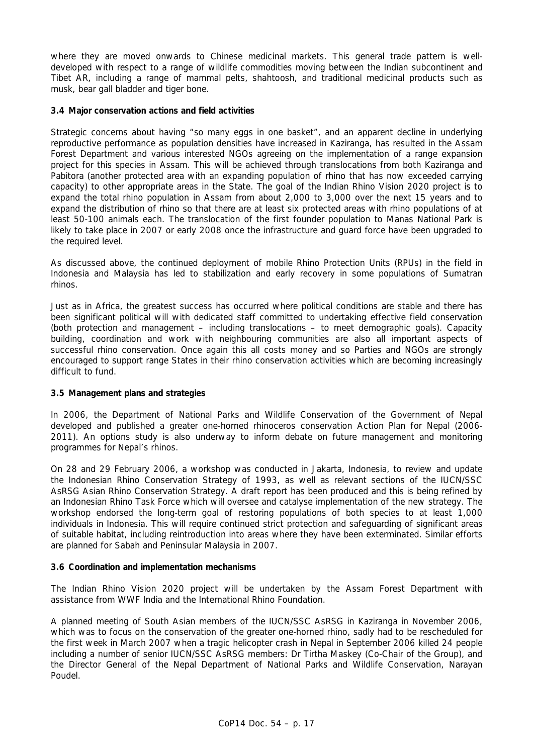where they are moved onwards to Chinese medicinal markets. This general trade pattern is welldeveloped with respect to a range of wildlife commodities moving between the Indian subcontinent and Tibet AR, including a range of mammal pelts, shahtoosh, and traditional medicinal products such as musk, bear gall bladder and tiger bone.

#### **3.4 Major conservation actions and field activities**

Strategic concerns about having "so many eggs in one basket", and an apparent decline in underlying reproductive performance as population densities have increased in Kaziranga, has resulted in the Assam Forest Department and various interested NGOs agreeing on the implementation of a range expansion project for this species in Assam. This will be achieved through translocations from both Kaziranga and Pabitora (another protected area with an expanding population of rhino that has now exceeded carrying capacity) to other appropriate areas in the State. The goal of the *Indian Rhino Vision 2020* project is to expand the total rhino population in Assam from about 2,000 to 3,000 over the next 15 years and to expand the distribution of rhino so that there are at least six protected areas with rhino populations of at least 50-100 animals each. The translocation of the first founder population to Manas National Park is likely to take place in 2007 or early 2008 once the infrastructure and guard force have been upgraded to the required level.

As discussed above, the continued deployment of mobile Rhino Protection Units (RPUs) in the field in Indonesia and Malaysia has led to stabilization and early recovery in some populations of Sumatran rhinos.

Just as in Africa, the greatest success has occurred where political conditions are stable and there has been significant political will with dedicated staff committed to undertaking effective field conservation (both protection and management – including translocations – to meet demographic goals). Capacity building, coordination and work with neighbouring communities are also all important aspects of successful rhino conservation. Once again this all costs money and so Parties and NGOs are strongly encouraged to support range States in their rhino conservation activities which are becoming increasingly difficult to fund.

### **3.5 Management plans and strategies**

In 2006, the Department of National Parks and Wildlife Conservation of the Government of Nepal developed and published a greater one-horned rhinoceros conservation Action Plan for Nepal (2006- 2011). An options study is also underway to inform debate on future management and monitoring programmes for Nepal's rhinos.

On 28 and 29 February 2006, a workshop was conducted in Jakarta, Indonesia, to review and update the Indonesian Rhino Conservation Strategy of 1993, as well as relevant sections of the IUCN/SSC AsRSG Asian Rhino Conservation Strategy. A draft report has been produced and this is being refined by an Indonesian Rhino Task Force which will oversee and catalyse implementation of the new strategy. The workshop endorsed the long-term goal of restoring populations of both species to at least 1,000 individuals in Indonesia. This will require continued strict protection and safeguarding of significant areas of suitable habitat, including reintroduction into areas where they have been exterminated. Similar efforts are planned for Sabah and Peninsular Malaysia in 2007.

#### **3.6 Coordination and implementation mechanisms**

The *Indian Rhino Vision 2020* project will be undertaken by the Assam Forest Department with assistance from WWF India and the International Rhino Foundation.

A planned meeting of South Asian members of the IUCN/SSC AsRSG in Kaziranga in November 2006, which was to focus on the conservation of the greater one-horned rhino, sadly had to be rescheduled for the first week in March 2007 when a tragic helicopter crash in Nepal in September 2006 killed 24 people including a number of senior IUCN/SSC AsRSG members: Dr Tirtha Maskey (Co-Chair of the Group), and the Director General of the Nepal Department of National Parks and Wildlife Conservation, Narayan Poudel.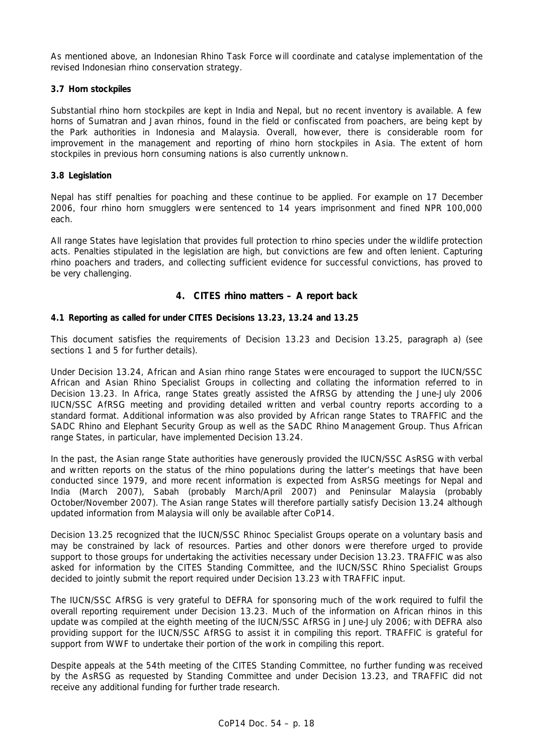As mentioned above, an Indonesian Rhino Task Force will coordinate and catalyse implementation of the revised Indonesian rhino conservation strategy.

# **3.7 Horn stockpiles**

Substantial rhino horn stockpiles are kept in India and Nepal, but no recent inventory is available. A few horns of Sumatran and Javan rhinos, found in the field or confiscated from poachers, are being kept by the Park authorities in Indonesia and Malaysia. Overall, however, there is considerable room for improvement in the management and reporting of rhino horn stockpiles in Asia. The extent of horn stockpiles in previous horn consuming nations is also currently unknown.

# **3.8 Legislation**

Nepal has stiff penalties for poaching and these continue to be applied. For example on 17 December 2006, four rhino horn smugglers were sentenced to 14 years imprisonment and fined NPR 100,000 each.

All range States have legislation that provides full protection to rhino species under the wildlife protection acts. Penalties stipulated in the legislation are high, but convictions are few and often lenient. Capturing rhino poachers and traders, and collecting sufficient evidence for successful convictions, has proved to be very challenging.

# **4. CITES rhino matters – A report back**

### **4.1 Reporting as called for under CITES Decisions 13.23, 13.24 and 13.25**

This document satisfies the requirements of Decision 13.23 and Decision 13.25, paragraph a) (see sections 1 and 5 for further details).

Under Decision 13.24, African and Asian rhino range States were encouraged to support the IUCN/SSC African and Asian Rhino Specialist Groups in collecting and collating the information referred to in Decision 13.23. In Africa, range States greatly assisted the AfRSG by attending the June-July 2006 IUCN/SSC AfRSG meeting and providing detailed written and verbal country reports according to a standard format. Additional information was also provided by African range States to TRAFFIC and the SADC Rhino and Elephant Security Group as well as the SADC Rhino Management Group. Thus African range States, in particular, have implemented Decision 13.24.

In the past, the Asian range State authorities have generously provided the IUCN/SSC AsRSG with verbal and written reports on the status of the rhino populations during the latter's meetings that have been conducted since 1979, and more recent information is expected from AsRSG meetings for Nepal and India (March 2007), Sabah (probably March/April 2007) and Peninsular Malaysia (probably October/November 2007). The Asian range States will therefore partially satisfy Decision 13.24 although updated information from Malaysia will only be available after CoP14.

Decision 13.25 recognized that the IUCN/SSC Rhinoc Specialist Groups operate on a voluntary basis and may be constrained by lack of resources. Parties and other donors were therefore urged to provide support to those groups for undertaking the activities necessary under Decision 13.23. TRAFFIC was also asked for information by the CITES Standing Committee, and the IUCN/SSC Rhino Specialist Groups decided to jointly submit the report required under Decision 13.23 with TRAFFIC input.

The IUCN/SSC AfRSG is very grateful to DEFRA for sponsoring much of the work required to fulfil the overall reporting requirement under Decision 13.23. Much of the information on African rhinos in this update was compiled at the eighth meeting of the IUCN/SSC AfRSG in June-July 2006; with DEFRA also providing support for the IUCN/SSC AfRSG to assist it in compiling this report. TRAFFIC is grateful for support from WWF to undertake their portion of the work in compiling this report.

Despite appeals at the 54th meeting of the CITES Standing Committee, no further funding was received by the AsRSG as requested by Standing Committee and under Decision 13.23, and TRAFFIC did not receive any additional funding for further trade research.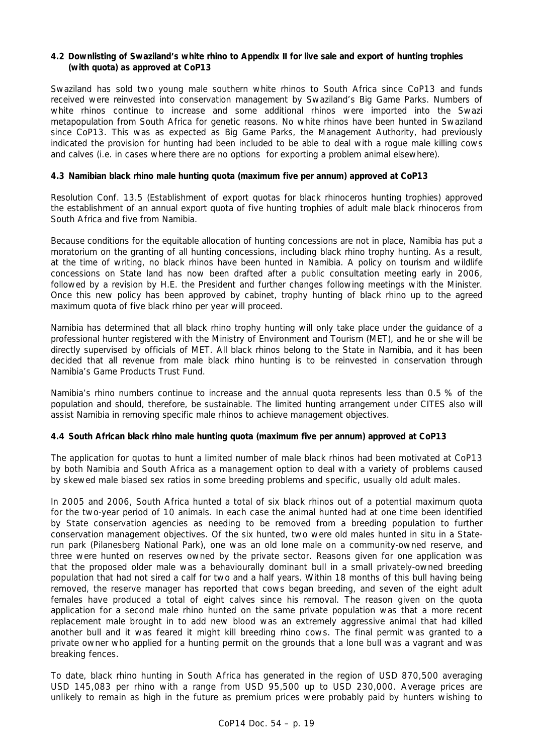#### **4.2 Downlisting of Swaziland's white rhino to Appendix II for live sale and export of hunting trophies (with quota) as approved at CoP13**

Swaziland has sold two young male southern white rhinos to South Africa since CoP13 and funds received were reinvested into conservation management by Swaziland's Big Game Parks. Numbers of white rhinos continue to increase and some additional rhinos were imported into the Swazi metapopulation from South Africa for genetic reasons. No white rhinos have been hunted in Swaziland since CoP13. This was as expected as Big Game Parks, the Management Authority, had previously indicated the provision for hunting had been included to be able to deal with a rogue male killing cows and calves (i.e. in cases where there are no options for exporting a problem animal elsewhere).

### **4.3 Namibian black rhino male hunting quota (maximum five per annum) approved at CoP13**

Resolution Conf. 13.5 (Establishment of export quotas for black rhinoceros hunting trophies) approved the establishment of an annual export quota of five hunting trophies of adult male black rhinoceros from South Africa and five from Namibia.

Because conditions for the equitable allocation of hunting concessions are not in place, Namibia has put a moratorium on the granting of all hunting concessions, including black rhino trophy hunting. As a result, at the time of writing, no black rhinos have been hunted in Namibia. A policy on tourism and wildlife concessions on State land has now been drafted after a public consultation meeting early in 2006, followed by a revision by H.E. the President and further changes following meetings with the Minister. Once this new policy has been approved by cabinet, trophy hunting of black rhino up to the agreed maximum quota of five black rhino per year will proceed.

Namibia has determined that all black rhino trophy hunting will only take place under the guidance of a professional hunter registered with the Ministry of Environment and Tourism (MET), and he or she will be directly supervised by officials of MET. All black rhinos belong to the State in Namibia, and it has been decided that all revenue from male black rhino hunting is to be reinvested in conservation through Namibia's Game Products Trust Fund.

Namibia's rhino numbers continue to increase and the annual quota represents less than 0.5 % of the population and should, therefore, be sustainable. The limited hunting arrangement under CITES also will assist Namibia in removing specific male rhinos to achieve management objectives.

#### **4.4 South African black rhino male hunting quota (maximum five per annum) approved at CoP13**

The application for quotas to hunt a limited number of male black rhinos had been motivated at CoP13 by both Namibia and South Africa as a management option to deal with a variety of problems caused by skewed male biased sex ratios in some breeding problems and specific, usually old adult males.

In 2005 and 2006, South Africa hunted a total of six black rhinos out of a potential maximum quota for the two-year period of 10 animals. In each case the animal hunted had at one time been identified by State conservation agencies as needing to be removed from a breeding population to further conservation management objectives. Of the six hunted, two were old males hunted *in situ* in a Staterun park (Pilanesberg National Park), one was an old lone male on a community-owned reserve, and three were hunted on reserves owned by the private sector. Reasons given for one application was that the proposed older male was a behaviourally dominant bull in a small privately-owned breeding population that had not sired a calf for two and a half years. Within 18 months of this bull having being removed, the reserve manager has reported that cows began breeding, and seven of the eight adult females have produced a total of eight calves since his removal. The reason given on the quota application for a second male rhino hunted on the same private population was that a more recent replacement male brought in to add new blood was an extremely aggressive animal that had killed another bull and it was feared it might kill breeding rhino cows. The final permit was granted to a private owner who applied for a hunting permit on the grounds that a lone bull was a vagrant and was breaking fences.

To date, black rhino hunting in South Africa has generated in the region of USD 870,500 averaging USD 145,083 per rhino with a range from USD 95,500 up to USD 230,000. Average prices are unlikely to remain as high in the future as premium prices were probably paid by hunters wishing to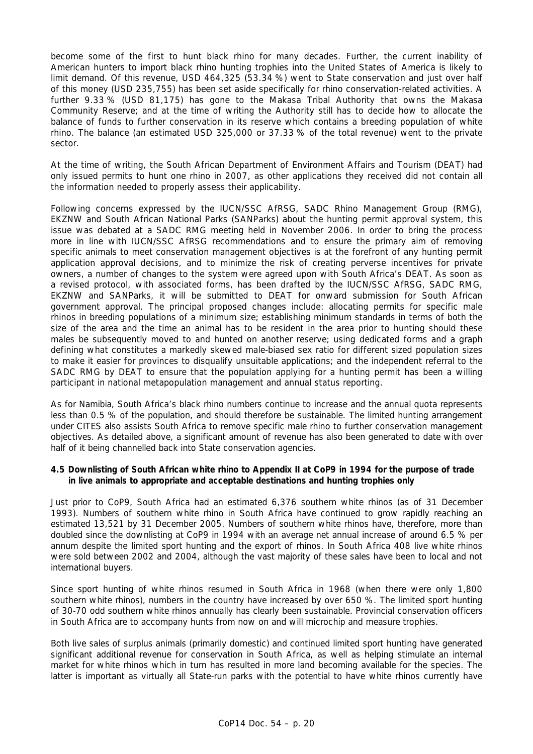become some of the first to hunt black rhino for many decades. Further, the current inability of American hunters to import black rhino hunting trophies into the United States of America is likely to limit demand. Of this revenue, USD 464,325 (53.34 %) went to State conservation and just over half of this money (USD 235,755) has been set aside specifically for rhino conservation-related activities. A further 9.33 % (USD 81,175) has gone to the Makasa Tribal Authority that owns the Makasa Community Reserve; and at the time of writing the Authority still has to decide how to allocate the balance of funds to further conservation in its reserve which contains a breeding population of white rhino. The balance (an estimated USD 325,000 or 37.33 % of the total revenue) went to the private sector.

At the time of writing, the South African Department of Environment Affairs and Tourism (DEAT) had only issued permits to hunt one rhino in 2007, as other applications they received did not contain all the information needed to properly assess their applicability.

Following concerns expressed by the IUCN/SSC AfRSG, SADC Rhino Management Group (RMG), EKZNW and South African National Parks (SANParks) about the hunting permit approval system, this issue was debated at a SADC RMG meeting held in November 2006. In order to bring the process more in line with IUCN/SSC AfRSG recommendations and to ensure the primary aim of removing specific animals to meet conservation management objectives is at the forefront of any hunting permit application approval decisions, and to minimize the risk of creating perverse incentives for private owners, a number of changes to the system were agreed upon with South Africa's DEAT. As soon as a revised protocol, with associated forms, has been drafted by the IUCN/SSC AfRSG, SADC RMG, EKZNW and SANParks, it will be submitted to DEAT for onward submission for South African government approval. The principal proposed changes include: allocating permits for specific male rhinos in breeding populations of a minimum size; establishing minimum standards in terms of both the size of the area and the time an animal has to be resident in the area prior to hunting should these males be subsequently moved to and hunted on another reserve; using dedicated forms and a graph defining what constitutes a markedly skewed male-biased sex ratio for different sized population sizes to make it easier for provinces to disqualify unsuitable applications; and the independent referral to the SADC RMG by DEAT to ensure that the population applying for a hunting permit has been a willing participant in national metapopulation management and annual status reporting.

As for Namibia, South Africa's black rhino numbers continue to increase and the annual quota represents less than 0.5 % of the population, and should therefore be sustainable. The limited hunting arrangement under CITES also assists South Africa to remove specific male rhino to further conservation management objectives. As detailed above, a significant amount of revenue has also been generated to date with over half of it being channelled back into State conservation agencies.

#### **4.5 Downlisting of South African white rhino to Appendix II at CoP9 in 1994 for the purpose of trade in live animals to appropriate and acceptable destinations and hunting trophies only**

Just prior to CoP9, South Africa had an estimated 6,376 southern white rhinos (as of 31 December 1993). Numbers of southern white rhino in South Africa have continued to grow rapidly reaching an estimated 13,521 by 31 December 2005. Numbers of southern white rhinos have, therefore, more than doubled since the downlisting at CoP9 in 1994 with an average net annual increase of around 6.5 % per annum despite the limited sport hunting and the export of rhinos. In South Africa 408 live white rhinos were sold between 2002 and 2004, although the vast majority of these sales have been to local and not international buyers.

Since sport hunting of white rhinos resumed in South Africa in 1968 (when there were only 1,800 southern white rhinos), numbers in the country have increased by over 650 %. The limited sport hunting of 30-70 odd southern white rhinos annually has clearly been sustainable. Provincial conservation officers in South Africa are to accompany hunts from now on and will microchip and measure trophies.

Both live sales of surplus animals (primarily domestic) and continued limited sport hunting have generated significant additional revenue for conservation in South Africa, as well as helping stimulate an internal market for white rhinos which in turn has resulted in more land becoming available for the species. The latter is important as virtually all State-run parks with the potential to have white rhinos currently have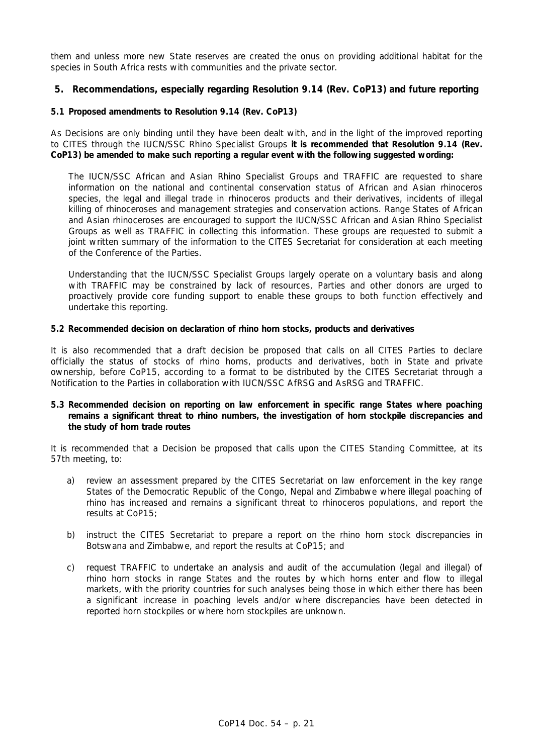them and unless more new State reserves are created the onus on providing additional habitat for the species in South Africa rests with communities and the private sector.

# **5. Recommendations, especially regarding Resolution 9.14 (Rev. CoP13) and future reporting**

#### **5.1 Proposed amendments to Resolution 9.14 (Rev. CoP13)**

As Decisions are only binding until they have been dealt with, and in the light of the improved reporting to CITES through the IUCN/SSC Rhino Specialist Groups **it is recommended that Resolution 9.14 (Rev. CoP13) be amended to make such reporting a regular event with the following suggested wording:** 

*The IUCN/SSC African and Asian Rhino Specialist Groups and TRAFFIC are requested to share information on the national and continental conservation status of African and Asian rhinoceros species, the legal and illegal trade in rhinoceros products and their derivatives, incidents of illegal killing of rhinoceroses and management strategies and conservation actions. Range States of African and Asian rhinoceroses are encouraged to support the IUCN/SSC African and Asian Rhino Specialist Groups as well as TRAFFIC in collecting this information. These groups are requested to submit a joint written summary of the information to the CITES Secretariat for consideration at each meeting of the Conference of the Parties.* 

*Understanding that the IUCN/SSC Specialist Groups largely operate on a voluntary basis and along with TRAFFIC may be constrained by lack of resources, Parties and other donors are urged to proactively provide core funding support to enable these groups to both function effectively and undertake this reporting.*

#### **5.2 Recommended decision on declaration of rhino horn stocks, products and derivatives**

It is also recommended that a draft decision be proposed that calls on all CITES Parties to declare officially the status of stocks of rhino horns, products and derivatives, both in State and private ownership, before CoP15, according to a format to be distributed by the CITES Secretariat through a Notification to the Parties in collaboration with IUCN/SSC AfRSG and AsRSG and TRAFFIC.

#### **5.3 Recommended decision on reporting on law enforcement in specific range States where poaching remains a significant threat to rhino numbers, the investigation of horn stockpile discrepancies and the study of horn trade routes**

It is recommended that a Decision be proposed that calls upon the CITES Standing Committee, at its 57th meeting, to:

- *a) review an assessment prepared by the CITES Secretariat on law enforcement in the key range States of the Democratic Republic of the Congo, Nepal and Zimbabwe where illegal poaching of rhino has increased and remains a significant threat to rhinoceros populations, and report the results at CoP15;*
- *b) instruct the CITES Secretariat to prepare a report on the rhino horn stock discrepancies in Botswana and Zimbabwe, and report the results at CoP15; and*
- *c) request TRAFFIC to undertake an analysis and audit of the accumulation (legal and illegal) of rhino horn stocks in range States and the routes by which horns enter and flow to illegal markets, with the priority countries for such analyses being those in which either there has been a significant increase in poaching levels and/or where discrepancies have been detected in reported horn stockpiles or where horn stockpiles are unknown.*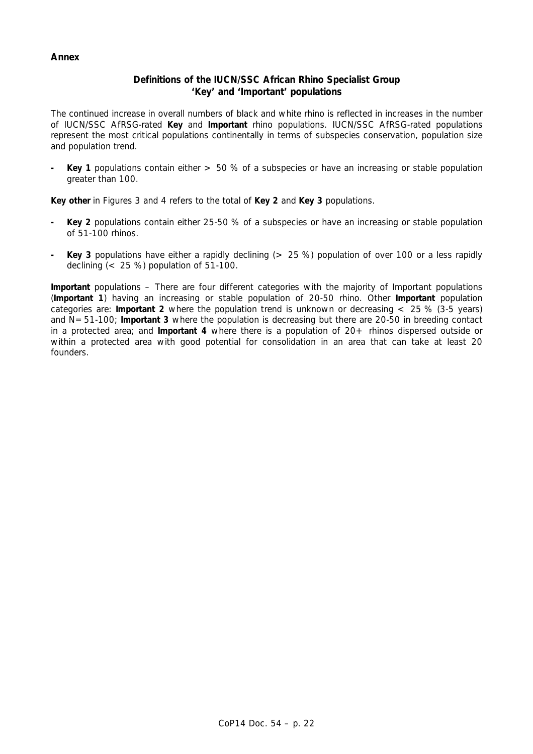# **Annex**

# **Definitions of the IUCN/SSC African Rhino Specialist Group 'Key' and 'Important' populations**

The continued increase in overall numbers of black and white rhino is reflected in increases in the number of IUCN/SSC AfRSG-rated *Key* and *Important* rhino populations. IUCN/SSC AfRSG-rated populations represent the most critical populations continentally in terms of subspecies conservation, population size and population trend.

*- Key 1* populations contain either > 50 % of a subspecies or have an increasing or stable population greater than 100.

*Key other in Figures 3 and 4 refers to the total of Key 2 and Key 3 populations.*

- *Key 2* populations contain either 25-50 % of a subspecies or have an increasing or stable population of 51-100 rhinos.
- *Key 3* populations have either a rapidly declining (> 25 %) population of over 100 or a less rapidly declining (< 25 %) population of 51-100.

*Important* populations – There are four different categories with the majority of *Important* populations (*Important 1*) having an increasing or stable population of 20-50 rhino. Other *Important* population categories are: *Important 2* where the population trend is unknown or decreasing < 25 % (3-5 years) and N=51-100; *Important 3* where the population is decreasing but there are 20-50 in breeding contact in a protected area; and *Important 4* where there is a population of 20+ rhinos dispersed outside or within a protected area with good potential for consolidation in an area that can take at least 20 founders.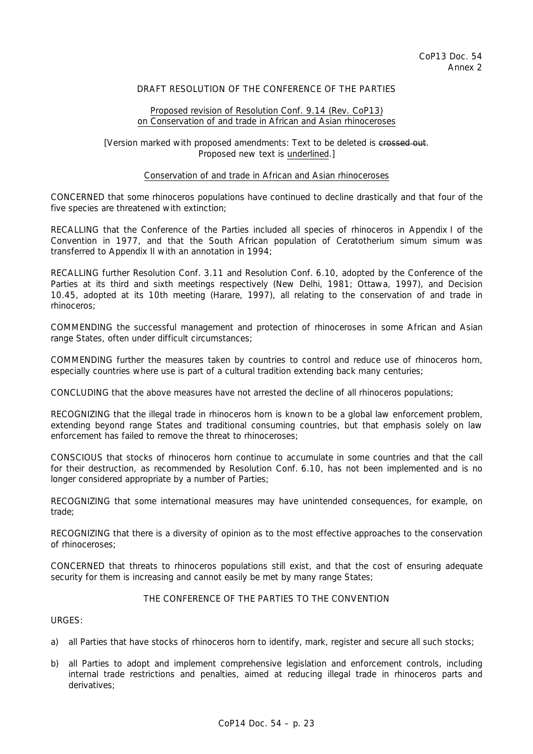## DRAFT RESOLUTION OF THE CONFERENCE OF THE PARTIES

#### Proposed revision of Resolution Conf. 9.14 (Rev. CoP13) on Conservation of and trade in African and Asian rhinoceroses

#### [Version marked with proposed amendments: Text to be deleted is crossed out. Proposed new text is underlined.]

#### Conservation of and trade in African and Asian rhinoceroses

CONCERNED that some rhinoceros populations have continued to decline drastically and that four of the five species are threatened with extinction;

RECALLING that the Conference of the Parties included all species of rhinoceros in Appendix I of the Convention in 1977, and that the South African population of *Ceratotherium simum simum* was transferred to Appendix II with an annotation in 1994;

RECALLING further Resolution Conf. 3.11 and Resolution Conf. 6.10, adopted by the Conference of the Parties at its third and sixth meetings respectively (New Delhi, 1981; Ottawa, 1997), and Decision 10.45, adopted at its 10th meeting (Harare, 1997), all relating to the conservation of and trade in rhinoceros;

COMMENDING the successful management and protection of rhinoceroses in some African and Asian range States, often under difficult circumstances;

COMMENDING further the measures taken by countries to control and reduce use of rhinoceros horn, especially countries where use is part of a cultural tradition extending back many centuries;

CONCLUDING that the above measures have not arrested the decline of all rhinoceros populations;

RECOGNIZING that the illegal trade in rhinoceros horn is known to be a global law enforcement problem, extending beyond range States and traditional consuming countries, but that emphasis solely on law enforcement has failed to remove the threat to rhinoceroses;

CONSCIOUS that stocks of rhinoceros horn continue to accumulate in some countries and that the call for their destruction, as recommended by Resolution Conf. 6.10, has not been implemented and is no longer considered appropriate by a number of Parties;

RECOGNIZING that some international measures may have unintended consequences, for example, on trade;

RECOGNIZING that there is a diversity of opinion as to the most effective approaches to the conservation of rhinoceroses;

CONCERNED that threats to rhinoceros populations still exist, and that the cost of ensuring adequate security for them is increasing and cannot easily be met by many range States;

# THE CONFERENCE OF THE PARTIES TO THE CONVENTION

URGES:

- a) all Parties that have stocks of rhinoceros horn to identify, mark, register and secure all such stocks;
- b) all Parties to adopt and implement comprehensive legislation and enforcement controls, including internal trade restrictions and penalties, aimed at reducing illegal trade in rhinoceros parts and derivatives;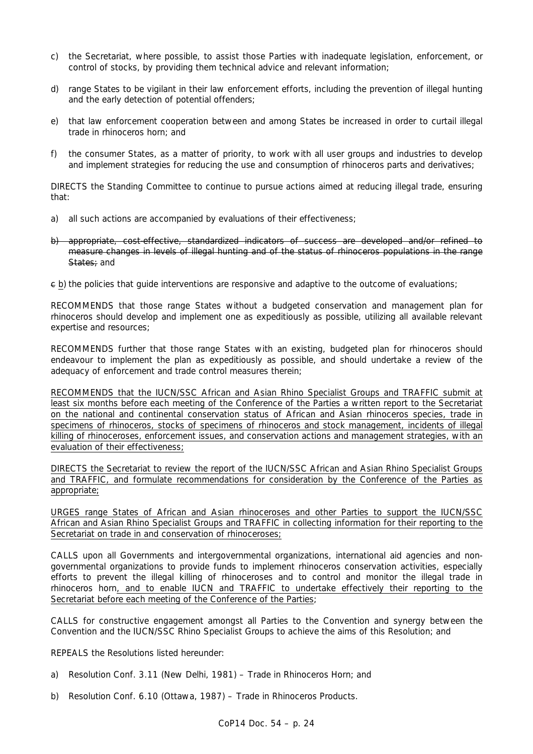- c) the Secretariat, where possible, to assist those Parties with inadequate legislation, enforcement, or control of stocks, by providing them technical advice and relevant information;
- d) range States to be vigilant in their law enforcement efforts, including the prevention of illegal hunting and the early detection of potential offenders;
- e) that law enforcement cooperation between and among States be increased in order to curtail illegal trade in rhinoceros horn; and
- f) the consumer States, as a matter of priority, to work with all user groups and industries to develop and implement strategies for reducing the use and consumption of rhinoceros parts and derivatives;

DIRECTS the Standing Committee to continue to pursue actions aimed at reducing illegal trade, ensuring that:

- a) all such actions are accompanied by evaluations of their effectiveness;
- b) appropriate, cost-effective, standardized indicators of success are developed and/or refined to measure changes in levels of illegal hunting and of the status of rhinoceros populations in the range States; and

c b) the policies that guide interventions are responsive and adaptive to the outcome of evaluations;

RECOMMENDS that those range States without a budgeted conservation and management plan for rhinoceros should develop and implement one as expeditiously as possible, utilizing all available relevant expertise and resources;

RECOMMENDS further that those range States with an existing, budgeted plan for rhinoceros should endeavour to implement the plan as expeditiously as possible, and should undertake a review of the adequacy of enforcement and trade control measures therein;

RECOMMENDS that the IUCN/SSC African and Asian Rhino Specialist Groups and TRAFFIC submit at least six months before each meeting of the Conference of the Parties a written report to the Secretariat on the national and continental conservation status of African and Asian rhinoceros species, trade in specimens of rhinoceros, stocks of specimens of rhinoceros and stock management, incidents of illegal killing of rhinoceroses, enforcement issues, and conservation actions and management strategies, with an evaluation of their effectiveness;

DIRECTS the Secretariat to review the report of the IUCN/SSC African and Asian Rhino Specialist Groups and TRAFFIC, and formulate recommendations for consideration by the Conference of the Parties as appropriate;

URGES range States of African and Asian rhinoceroses and other Parties to support the IUCN/SSC African and Asian Rhino Specialist Groups and TRAFFIC in collecting information for their reporting to the Secretariat on trade in and conservation of rhinoceroses;

CALLS upon all Governments and intergovernmental organizations, international aid agencies and nongovernmental organizations to provide funds to implement rhinoceros conservation activities, especially efforts to prevent the illegal killing of rhinoceroses and to control and monitor the illegal trade in rhinoceros horn, and to enable IUCN and TRAFFIC to undertake effectively their reporting to the Secretariat before each meeting of the Conference of the Parties;

CALLS for constructive engagement amongst all Parties to the Convention and synergy between the Convention and the IUCN/SSC Rhino Specialist Groups to achieve the aims of this Resolution; and

REPEALS the Resolutions listed hereunder:

- a) Resolution Conf. 3.11 (New Delhi, 1981) Trade in Rhinoceros Horn; and
- b) Resolution Conf. 6.10 (Ottawa, 1987) Trade in Rhinoceros Products.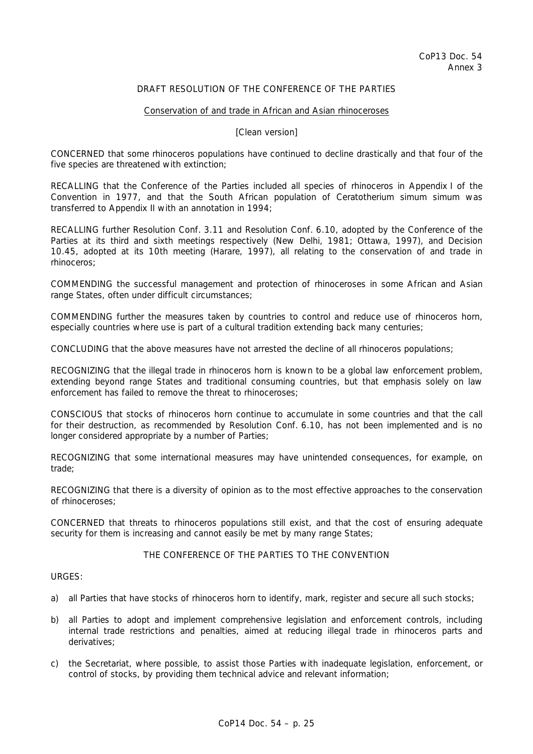### DRAFT RESOLUTION OF THE CONFERENCE OF THE PARTIES

#### Conservation of and trade in African and Asian rhinoceroses

#### [Clean version]

CONCERNED that some rhinoceros populations have continued to decline drastically and that four of the five species are threatened with extinction;

RECALLING that the Conference of the Parties included all species of rhinoceros in Appendix I of the Convention in 1977, and that the South African population of *Ceratotherium simum simum* was transferred to Appendix II with an annotation in 1994;

RECALLING further Resolution Conf. 3.11 and Resolution Conf. 6.10, adopted by the Conference of the Parties at its third and sixth meetings respectively (New Delhi, 1981; Ottawa, 1997), and Decision 10.45, adopted at its 10th meeting (Harare, 1997), all relating to the conservation of and trade in rhinoceros;

COMMENDING the successful management and protection of rhinoceroses in some African and Asian range States, often under difficult circumstances;

COMMENDING further the measures taken by countries to control and reduce use of rhinoceros horn, especially countries where use is part of a cultural tradition extending back many centuries;

CONCLUDING that the above measures have not arrested the decline of all rhinoceros populations;

RECOGNIZING that the illegal trade in rhinoceros horn is known to be a global law enforcement problem, extending beyond range States and traditional consuming countries, but that emphasis solely on law enforcement has failed to remove the threat to rhinoceroses;

CONSCIOUS that stocks of rhinoceros horn continue to accumulate in some countries and that the call for their destruction, as recommended by Resolution Conf. 6.10, has not been implemented and is no longer considered appropriate by a number of Parties;

RECOGNIZING that some international measures may have unintended consequences, for example, on trade;

RECOGNIZING that there is a diversity of opinion as to the most effective approaches to the conservation of rhinoceroses;

CONCERNED that threats to rhinoceros populations still exist, and that the cost of ensuring adequate security for them is increasing and cannot easily be met by many range States;

#### THE CONFERENCE OF THE PARTIES TO THE CONVENTION

URGES:

- a) all Parties that have stocks of rhinoceros horn to identify, mark, register and secure all such stocks;
- b) all Parties to adopt and implement comprehensive legislation and enforcement controls, including internal trade restrictions and penalties, aimed at reducing illegal trade in rhinoceros parts and derivatives;
- c) the Secretariat, where possible, to assist those Parties with inadequate legislation, enforcement, or control of stocks, by providing them technical advice and relevant information;